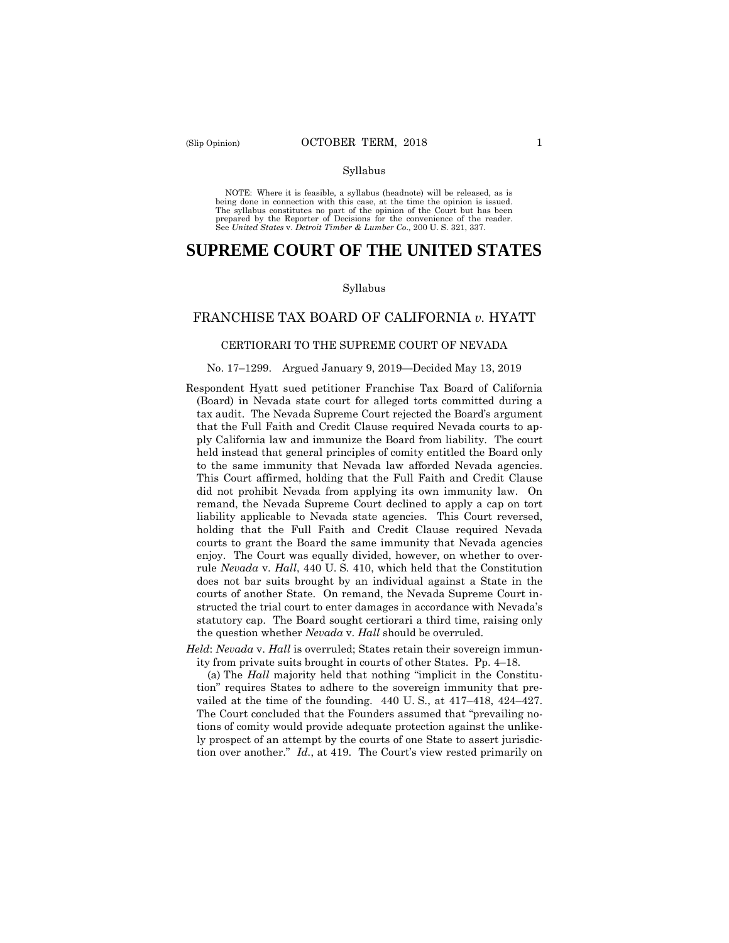#### Syllabus

NOTE: Where it is feasible, a syllabus (headnote) will be released, as is being done in connection with this case, at the time the opinion is issued. The syllabus constitutes no part of the opinion of the Court but has been<br>prepared by the Reporter of Decisions for the convenience of the reader.<br>See United States v. Detroit Timber & Lumber Co., 200 U. S. 321, 337.

# **SUPREME COURT OF THE UNITED STATES**

#### Syllabus

### FRANCHISE TAX BOARD OF CALIFORNIA *v.* HYATT

#### CERTIORARI TO THE SUPREME COURT OF NEVADA

#### No. 17–1299. Argued January 9, 2019—Decided May 13, 2019

- Respondent Hyatt sued petitioner Franchise Tax Board of California (Board) in Nevada state court for alleged torts committed during a tax audit. The Nevada Supreme Court rejected the Board's argument that the Full Faith and Credit Clause required Nevada courts to apply California law and immunize the Board from liability. The court held instead that general principles of comity entitled the Board only to the same immunity that Nevada law afforded Nevada agencies. This Court affirmed, holding that the Full Faith and Credit Clause did not prohibit Nevada from applying its own immunity law. On remand, the Nevada Supreme Court declined to apply a cap on tort liability applicable to Nevada state agencies. This Court reversed, holding that the Full Faith and Credit Clause required Nevada courts to grant the Board the same immunity that Nevada agencies enjoy. The Court was equally divided, however, on whether to overrule *Nevada* v. *Hall*, 440 U. S. 410, which held that the Constitution does not bar suits brought by an individual against a State in the courts of another State. On remand, the Nevada Supreme Court instructed the trial court to enter damages in accordance with Nevada's statutory cap. The Board sought certiorari a third time, raising only the question whether *Nevada* v. *Hall* should be overruled.
- *Held*: *Nevada* v. *Hall* is overruled; States retain their sovereign immunity from private suits brought in courts of other States. Pp. 4–18.

 (a) The *Hall* majority held that nothing "implicit in the Constitution" requires States to adhere to the sovereign immunity that prevailed at the time of the founding. 440 U. S., at 417–418, 424–427. The Court concluded that the Founders assumed that "prevailing notions of comity would provide adequate protection against the unlikely prospect of an attempt by the courts of one State to assert jurisdiction over another." *Id.*, at 419. The Court's view rested primarily on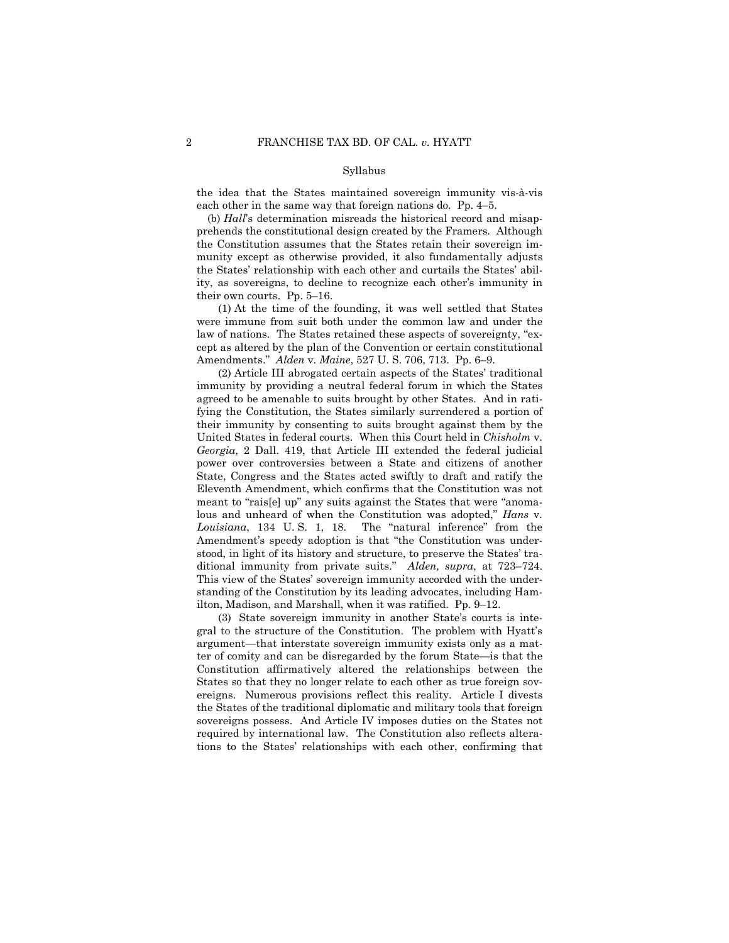#### Syllabus

the idea that the States maintained sovereign immunity vis-à-vis each other in the same way that foreign nations do. Pp. 4–5.

(b) *Hall*'s determination misreads the historical record and misapprehends the constitutional design created by the Framers. Although the Constitution assumes that the States retain their sovereign immunity except as otherwise provided, it also fundamentally adjusts the States' relationship with each other and curtails the States' ability, as sovereigns, to decline to recognize each other's immunity in their own courts. Pp. 5–16.

(1) At the time of the founding, it was well settled that States were immune from suit both under the common law and under the law of nations. The States retained these aspects of sovereignty, "except as altered by the plan of the Convention or certain constitutional Amendments." *Alden* v. *Maine*, 527 U. S. 706, 713. Pp. 6–9.

(2) Article III abrogated certain aspects of the States' traditional immunity by providing a neutral federal forum in which the States agreed to be amenable to suits brought by other States. And in ratifying the Constitution, the States similarly surrendered a portion of their immunity by consenting to suits brought against them by the United States in federal courts. When this Court held in *Chisholm* v. *Georgia*, 2 Dall. 419, that Article III extended the federal judicial power over controversies between a State and citizens of another State, Congress and the States acted swiftly to draft and ratify the Eleventh Amendment, which confirms that the Constitution was not meant to "rais[e] up" any suits against the States that were "anomalous and unheard of when the Constitution was adopted," *Hans* v. *Louisiana*, 134 U. S. 1, 18. The "natural inference" from the Amendment's speedy adoption is that "the Constitution was understood, in light of its history and structure, to preserve the States' traditional immunity from private suits." *Alden, supra*, at 723–724. This view of the States' sovereign immunity accorded with the understanding of the Constitution by its leading advocates, including Hamilton, Madison, and Marshall, when it was ratified. Pp. 9–12.

(3) State sovereign immunity in another State's courts is integral to the structure of the Constitution. The problem with Hyatt's argument—that interstate sovereign immunity exists only as a matter of comity and can be disregarded by the forum State—is that the Constitution affirmatively altered the relationships between the States so that they no longer relate to each other as true foreign sovereigns. Numerous provisions reflect this reality. Article I divests the States of the traditional diplomatic and military tools that foreign sovereigns possess. And Article IV imposes duties on the States not required by international law. The Constitution also reflects alterations to the States' relationships with each other, confirming that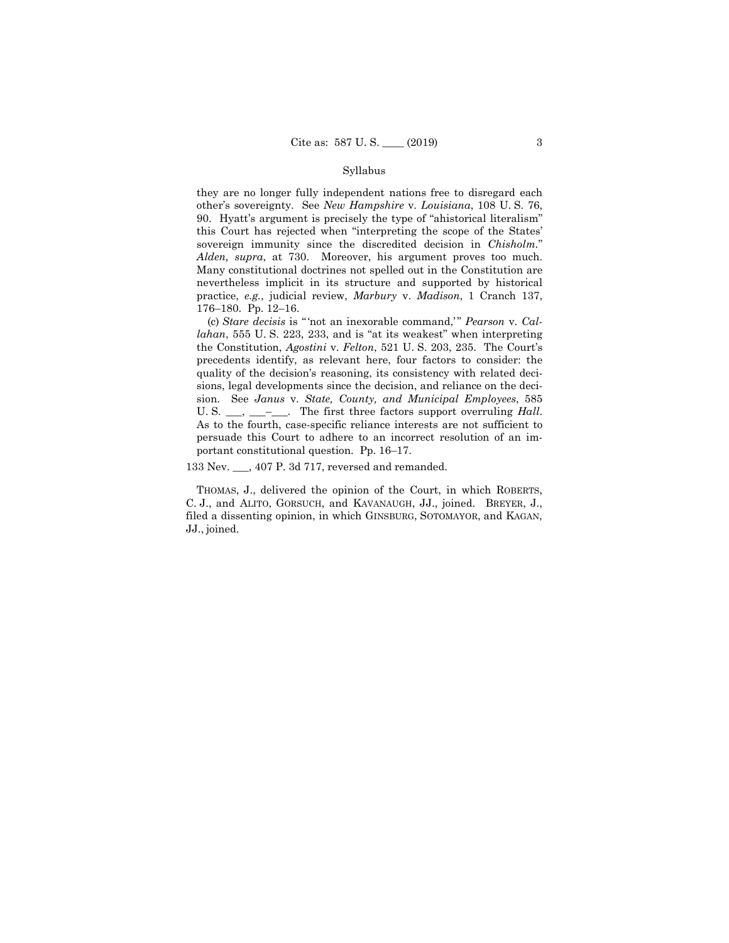#### Syllabus

they are no longer fully independent nations free to disregard each other's sovereignty. See *New Hampshire* v. *Louisiana*, 108 U. S. 76, 90. Hyatt's argument is precisely the type of "ahistorical literalism" this Court has rejected when "interpreting the scope of the States' sovereign immunity since the discredited decision in *Chisholm.*" *Alden, supra*, at 730. Moreover, his argument proves too much. Many constitutional doctrines not spelled out in the Constitution are nevertheless implicit in its structure and supported by historical practice, *e.g.*, judicial review, *Marbury* v. *Madison*, 1 Cranch 137, 176–180. Pp. 12–16.

(c) *Stare decisis* is "'not an inexorable command,'" *Pearson* v. *Callahan*, 555 U. S. 223, 233, and is "at its weakest" when interpreting the Constitution, *Agostini* v. *Felton*, 521 U. S. 203, 235. The Court's precedents identify, as relevant here, four factors to consider: the quality of the decision's reasoning, its consistency with related decisions, legal developments since the decision, and reliance on the decision. See *Janus* v. *State, County, and Municipal Employees*, 585 U. S. \_\_\_, \_\_\_–\_\_\_. The first three factors support overruling *Hall*. As to the fourth, case-specific reliance interests are not sufficient to persuade this Court to adhere to an incorrect resolution of an important constitutional question. Pp. 16–17.

133 Nev. \_\_\_, 407 P. 3d 717, reversed and remanded.

 THOMAS, J., delivered the opinion of the Court, in which ROBERTS, C. J., and ALITO, GORSUCH, and KAVANAUGH, JJ., joined. BREYER, J., filed a dissenting opinion, in which GINSBURG, SOTOMAYOR, and KAGAN, JJ., joined.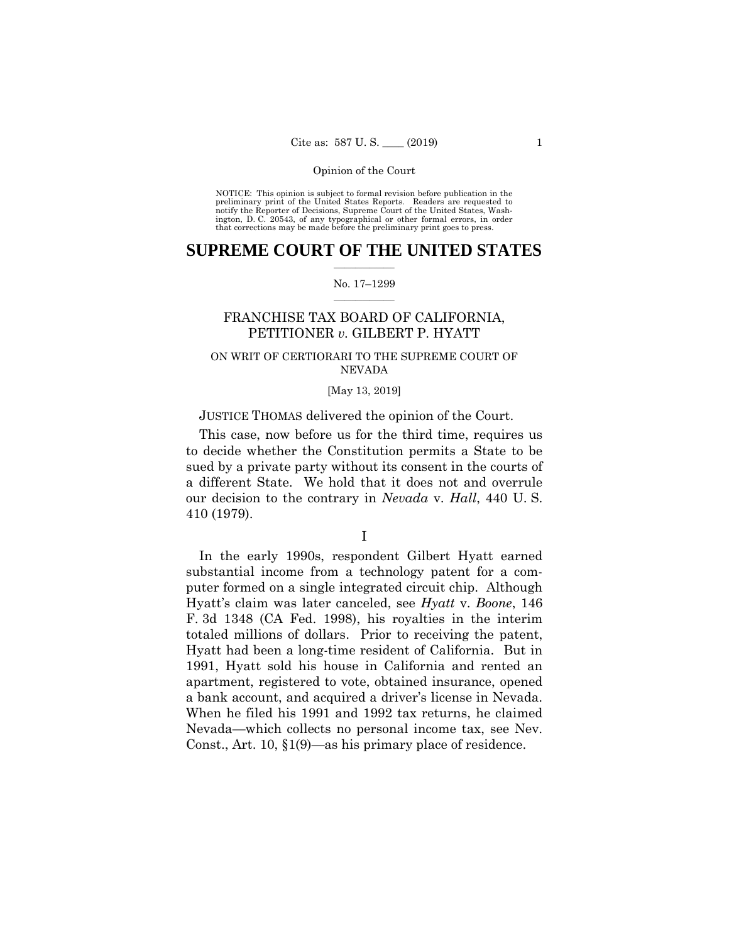NOTICE: This opinion is subject to formal revision before publication in the preliminary print of the United States Reports. Readers are requested to notify the Reporter of Decisions, Supreme Court of the United States, Wa ington, D. C. 20543, of any typographical or other formal errors, in order that corrections may be made before the preliminary print goes to press.

# **SUPREME COURT OF THE UNITED STATES**  $\overline{\phantom{a}}$  , where  $\overline{\phantom{a}}$

#### No. 17–1299  $\overline{\phantom{a}}$  , where  $\overline{\phantom{a}}$

# FRANCHISE TAX BOARD OF CALIFORNIA, PETITIONER *v.* GILBERT P. HYATT

# ON WRIT OF CERTIORARI TO THE SUPREME COURT OF NEVADA

### [May 13, 2019]

# JUSTICE THOMAS delivered the opinion of the Court.

This case, now before us for the third time, requires us to decide whether the Constitution permits a State to be sued by a private party without its consent in the courts of a different State. We hold that it does not and overrule our decision to the contrary in *Nevada* v. *Hall*, 440 U. S. 410 (1979).

I

In the early 1990s, respondent Gilbert Hyatt earned substantial income from a technology patent for a computer formed on a single integrated circuit chip. Although Hyatt's claim was later canceled, see *Hyatt* v. *Boone*, 146 F. 3d 1348 (CA Fed. 1998), his royalties in the interim totaled millions of dollars. Prior to receiving the patent, Hyatt had been a long-time resident of California. But in 1991, Hyatt sold his house in California and rented an apartment, registered to vote, obtained insurance, opened a bank account, and acquired a driver's license in Nevada. When he filed his 1991 and 1992 tax returns, he claimed Nevada—which collects no personal income tax, see Nev. Const., Art. 10, §1(9)—as his primary place of residence.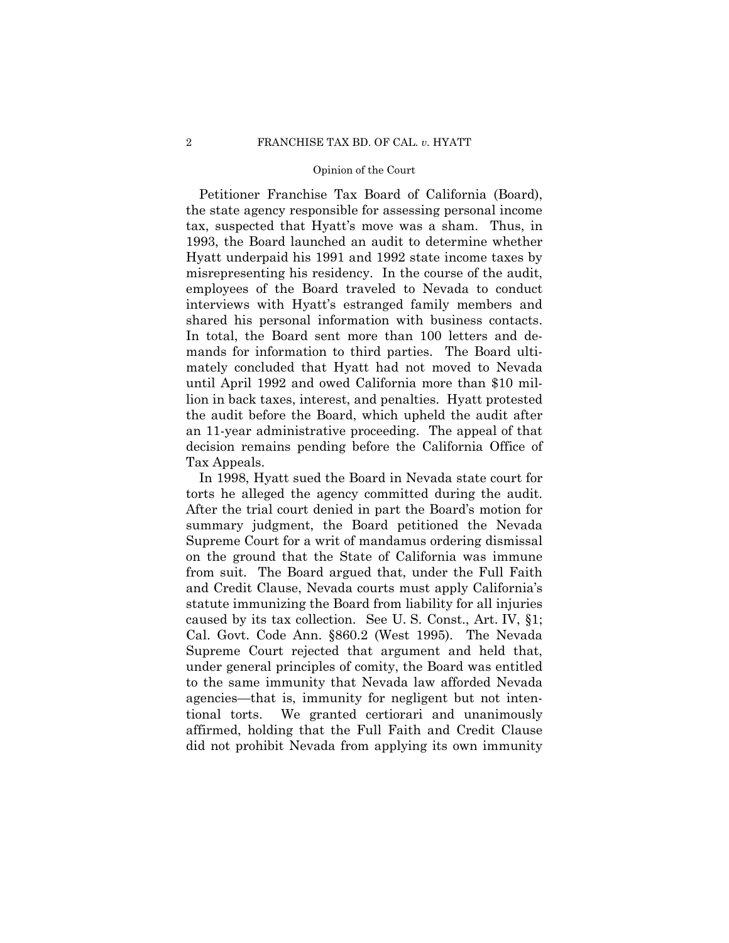Petitioner Franchise Tax Board of California (Board), the state agency responsible for assessing personal income tax, suspected that Hyatt's move was a sham. Thus, in 1993, the Board launched an audit to determine whether Hyatt underpaid his 1991 and 1992 state income taxes by misrepresenting his residency. In the course of the audit, employees of the Board traveled to Nevada to conduct interviews with Hyatt's estranged family members and shared his personal information with business contacts. In total, the Board sent more than 100 letters and demands for information to third parties. The Board ultimately concluded that Hyatt had not moved to Nevada until April 1992 and owed California more than \$10 million in back taxes, interest, and penalties. Hyatt protested the audit before the Board, which upheld the audit after an 11-year administrative proceeding. The appeal of that decision remains pending before the California Office of Tax Appeals.

In 1998, Hyatt sued the Board in Nevada state court for torts he alleged the agency committed during the audit. After the trial court denied in part the Board's motion for summary judgment, the Board petitioned the Nevada Supreme Court for a writ of mandamus ordering dismissal on the ground that the State of California was immune from suit. The Board argued that, under the Full Faith and Credit Clause, Nevada courts must apply California's statute immunizing the Board from liability for all injuries caused by its tax collection. See U. S. Const., Art. IV, §1; Cal. Govt. Code Ann. §860.2 (West 1995). The Nevada Supreme Court rejected that argument and held that, under general principles of comity, the Board was entitled to the same immunity that Nevada law afforded Nevada agencies—that is, immunity for negligent but not intentional torts. We granted certiorari and unanimously affirmed, holding that the Full Faith and Credit Clause did not prohibit Nevada from applying its own immunity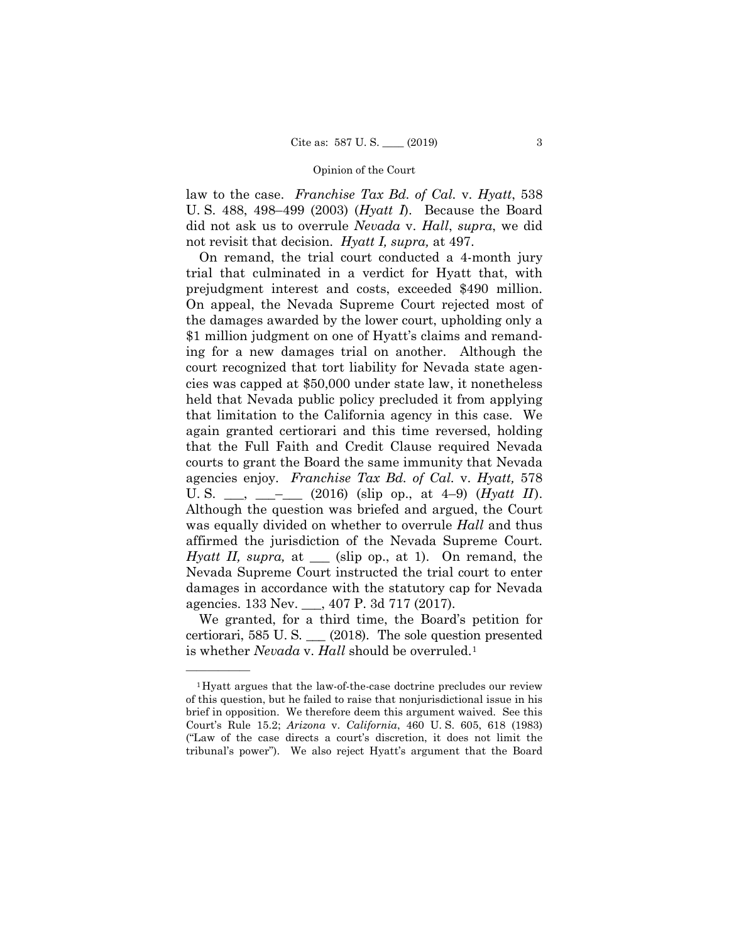law to the case. *Franchise Tax Bd. of Cal.* v. *Hyatt*, 538 U. S. 488, 498–499 (2003) (*Hyatt I*). Because the Board did not ask us to overrule *Nevada* v. *Hall*, *supra*, we did not revisit that decision. *Hyatt I, supra,* at 497.

On remand, the trial court conducted a 4-month jury trial that culminated in a verdict for Hyatt that, with prejudgment interest and costs, exceeded \$490 million. On appeal, the Nevada Supreme Court rejected most of the damages awarded by the lower court, upholding only a \$1 million judgment on one of Hyatt's claims and remanding for a new damages trial on another. Although the court recognized that tort liability for Nevada state agencies was capped at \$50,000 under state law, it nonetheless held that Nevada public policy precluded it from applying that limitation to the California agency in this case. We again granted certiorari and this time reversed, holding that the Full Faith and Credit Clause required Nevada courts to grant the Board the same immunity that Nevada agencies enjoy. *Franchise Tax Bd. of Cal.* v. *Hyatt,* 578 U. S. \_\_\_, \_\_\_–\_\_\_ (2016) (slip op., at 4–9) (*Hyatt II*). Although the question was briefed and argued, the Court was equally divided on whether to overrule *Hall* and thus affirmed the jurisdiction of the Nevada Supreme Court. *Hyatt II, supra,* at \_\_\_ (slip op., at 1). On remand, the Nevada Supreme Court instructed the trial court to enter damages in accordance with the statutory cap for Nevada agencies. 133 Nev. \_\_\_, 407 P. 3d 717 (2017).

We granted, for a third time, the Board's petition for certiorari, 585 U. S. \_\_\_ (2018). The sole question presented is whether *Nevada* v. *Hall* should be overruled.<sup>[1](#page-5-0)</sup>

——————

<span id="page-5-0"></span><sup>1</sup>Hyatt argues that the law-of-the-case doctrine precludes our review of this question, but he failed to raise that nonjurisdictional issue in his brief in opposition. We therefore deem this argument waived. See this Court's Rule 15.2; *Arizona* v. *California*, 460 U. S. 605, 618 (1983) ("Law of the case directs a court's discretion, it does not limit the tribunal's power"). We also reject Hyatt's argument that the Board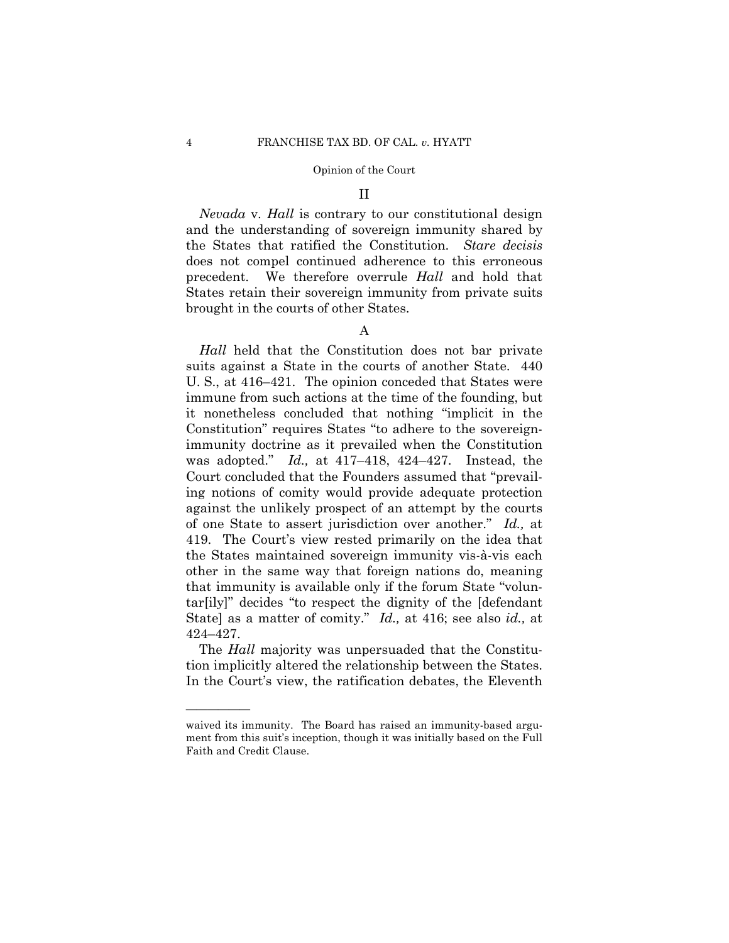II

*Nevada* v. *Hall* is contrary to our constitutional design and the understanding of sovereign immunity shared by the States that ratified the Constitution. *Stare decisis* does not compel continued adherence to this erroneous precedent. We therefore overrule *Hall* and hold that States retain their sovereign immunity from private suits brought in the courts of other States.

# A

*Hall* held that the Constitution does not bar private suits against a State in the courts of another State. 440 U. S., at 416–421. The opinion conceded that States were immune from such actions at the time of the founding, but it nonetheless concluded that nothing "implicit in the Constitution" requires States "to adhere to the sovereignimmunity doctrine as it prevailed when the Constitution was adopted." *Id.,* at 417–418, 424–427. Instead, the Court concluded that the Founders assumed that "prevailing notions of comity would provide adequate protection against the unlikely prospect of an attempt by the courts of one State to assert jurisdiction over another." *Id.,* at 419. The Court's view rested primarily on the idea that the States maintained sovereign immunity vis-à-vis each other in the same way that foreign nations do, meaning that immunity is available only if the forum State "voluntar[ily]" decides "to respect the dignity of the [defendant State] as a matter of comity." *Id.,* at 416; see also *id.,* at 424–427.

The *Hall* majority was unpersuaded that the Constitution implicitly altered the relationship between the States. In the Court's view, the ratification debates, the Eleventh

——————

waived its immunity. The Board has raised an immunity-based argument from this suit's inception, though it was initially based on the Full Faith and Credit Clause.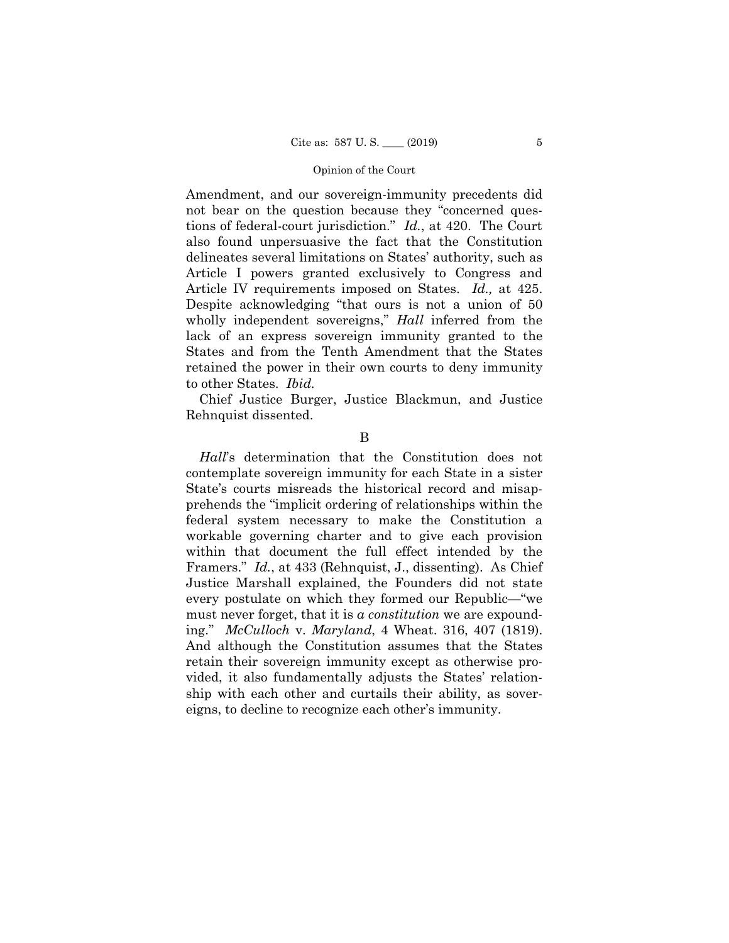Amendment, and our sovereign-immunity precedents did not bear on the question because they "concerned questions of federal-court jurisdiction." *Id.*, at 420. The Court also found unpersuasive the fact that the Constitution delineates several limitations on States' authority, such as Article I powers granted exclusively to Congress and Article IV requirements imposed on States. *Id.,* at 425. Despite acknowledging "that ours is not a union of 50 wholly independent sovereigns," *Hall* inferred from the lack of an express sovereign immunity granted to the States and from the Tenth Amendment that the States retained the power in their own courts to deny immunity to other States. *Ibid.*

Chief Justice Burger, Justice Blackmun, and Justice Rehnquist dissented.

B

*Hall*'s determination that the Constitution does not contemplate sovereign immunity for each State in a sister State's courts misreads the historical record and misapprehends the "implicit ordering of relationships within the federal system necessary to make the Constitution a workable governing charter and to give each provision within that document the full effect intended by the Framers." *Id.*, at 433 (Rehnquist, J., dissenting). As Chief Justice Marshall explained, the Founders did not state every postulate on which they formed our Republic—"we must never forget, that it is *a constitution* we are expounding." *McCulloch* v. *Maryland*, 4 Wheat. 316, 407 (1819). And although the Constitution assumes that the States retain their sovereign immunity except as otherwise provided, it also fundamentally adjusts the States' relationship with each other and curtails their ability, as sovereigns, to decline to recognize each other's immunity.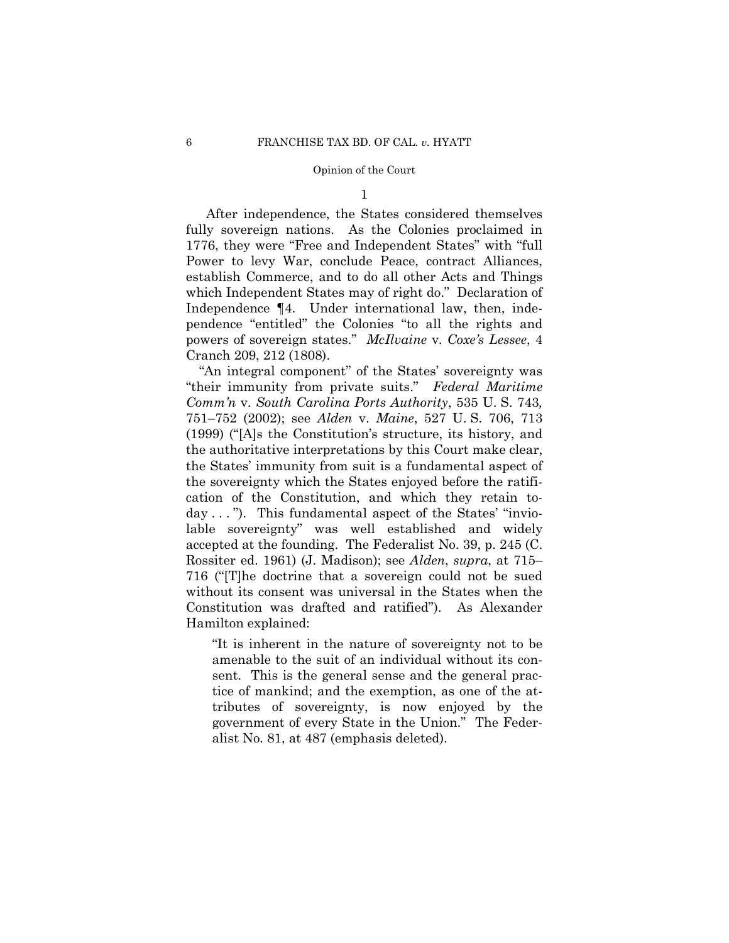1

 After independence, the States considered themselves fully sovereign nations. As the Colonies proclaimed in 1776, they were "Free and Independent States" with "full Power to levy War, conclude Peace, contract Alliances, establish Commerce, and to do all other Acts and Things which Independent States may of right do." Declaration of Independence ¶4. Under international law, then, independence "entitled" the Colonies "to all the rights and powers of sovereign states." *McIlvaine* v. *Coxe's Lessee*, 4 Cranch 209, 212 (1808).

"An integral component" of the States' sovereignty was "their immunity from private suits." *Federal Maritime Comm'n* v. *South Carolina Ports Authority*, 535 U. S. 743*,* 751–752 (2002); see *Alden* v. *Maine*, 527 U. S. 706, 713 (1999) ("[A]s the Constitution's structure, its history, and the authoritative interpretations by this Court make clear, the States' immunity from suit is a fundamental aspect of the sovereignty which the States enjoyed before the ratification of the Constitution, and which they retain today . . . "). This fundamental aspect of the States' "inviolable sovereignty" was well established and widely accepted at the founding. The Federalist No. 39, p. 245 (C. Rossiter ed. 1961) (J. Madison); see *Alden*, *supra*, at 715– 716 ("[T]he doctrine that a sovereign could not be sued without its consent was universal in the States when the Constitution was drafted and ratified"). As Alexander Hamilton explained:

"It is inherent in the nature of sovereignty not to be amenable to the suit of an individual without its consent. This is the general sense and the general practice of mankind; and the exemption, as one of the attributes of sovereignty, is now enjoyed by the government of every State in the Union." The Federalist No. 81, at 487 (emphasis deleted).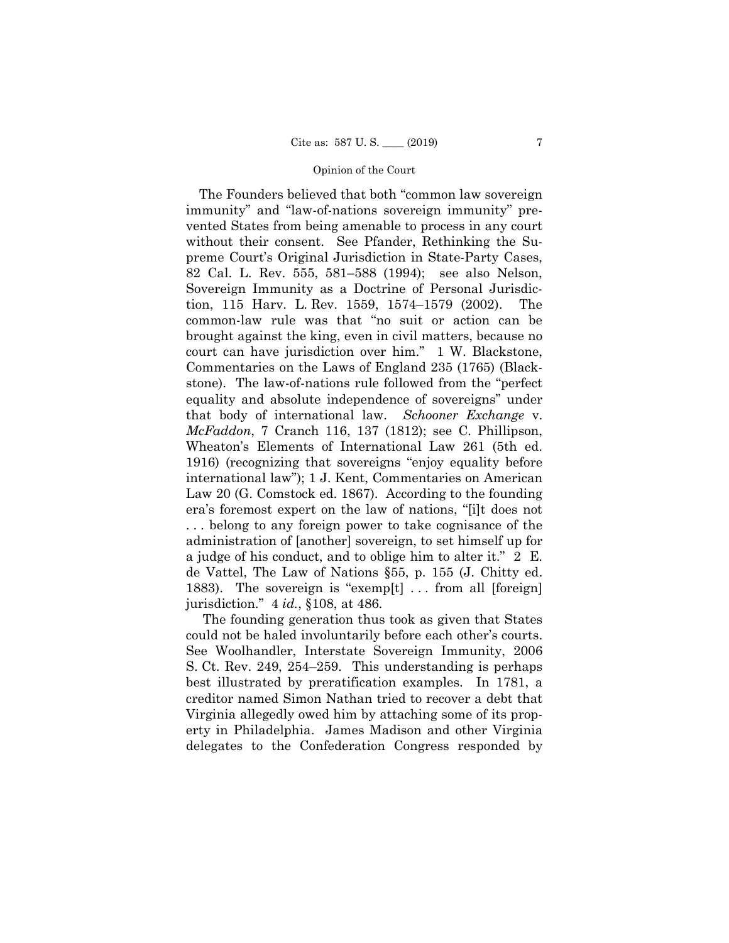The Founders believed that both "common law sovereign immunity" and "law-of-nations sovereign immunity" prevented States from being amenable to process in any court without their consent. See Pfander, Rethinking the Supreme Court's Original Jurisdiction in State-Party Cases, 82 Cal. L. Rev. 555, 581–588 (1994); see also Nelson, Sovereign Immunity as a Doctrine of Personal Jurisdiction, 115 Harv. L. Rev. 1559, 1574–1579 (2002). The common-law rule was that "no suit or action can be brought against the king, even in civil matters, because no court can have jurisdiction over him." 1 W. Blackstone, Commentaries on the Laws of England 235 (1765) (Blackstone). The law-of-nations rule followed from the "perfect equality and absolute independence of sovereigns" under that body of international law. *Schooner Exchange* v. *McFaddon*, 7 Cranch 116, 137 (1812); see C. Phillipson, Wheaton's Elements of International Law 261 (5th ed. 1916) (recognizing that sovereigns "enjoy equality before international law"); 1 J. Kent, Commentaries on American Law 20 (G. Comstock ed. 1867). According to the founding era's foremost expert on the law of nations, "[i]t does not . . . belong to any foreign power to take cognisance of the administration of [another] sovereign, to set himself up for a judge of his conduct, and to oblige him to alter it." 2 E. de Vattel, The Law of Nations §55, p. 155 (J. Chitty ed. 1883). The sovereign is "exemp[t] . . . from all [foreign] jurisdiction." 4 *id.*, §108, at 486.

 The founding generation thus took as given that States could not be haled involuntarily before each other's courts. See Woolhandler, Interstate Sovereign Immunity, 2006 S. Ct. Rev. 249, 254–259. This understanding is perhaps best illustrated by preratification examples. In 1781, a creditor named Simon Nathan tried to recover a debt that Virginia allegedly owed him by attaching some of its property in Philadelphia. James Madison and other Virginia delegates to the Confederation Congress responded by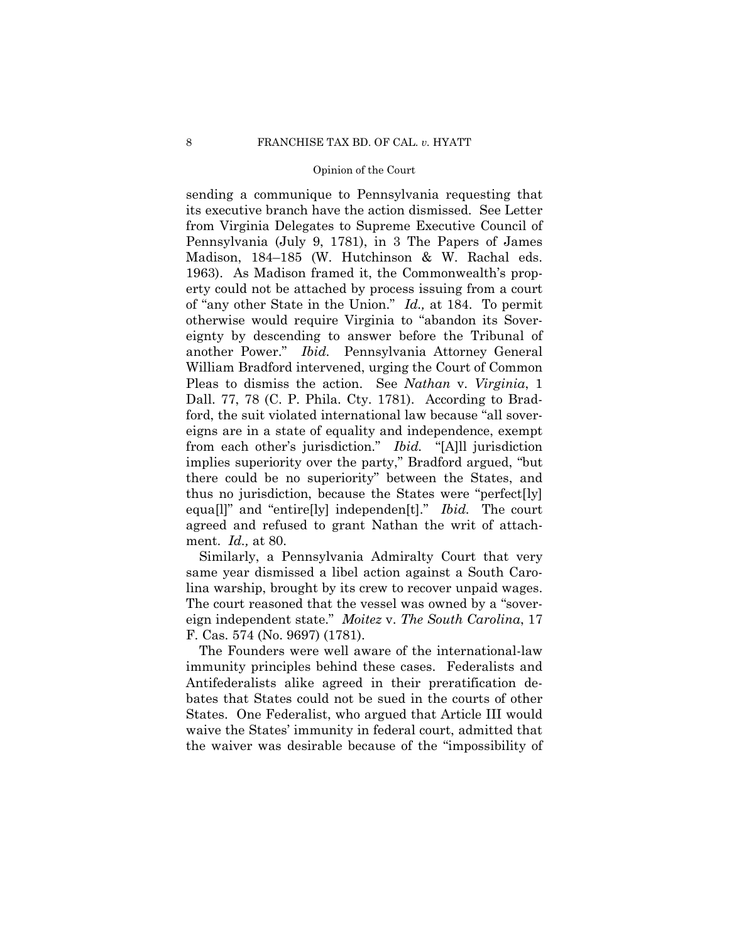sending a communique to Pennsylvania requesting that its executive branch have the action dismissed. See Letter from Virginia Delegates to Supreme Executive Council of Pennsylvania (July 9, 1781), in 3 The Papers of James Madison, 184–185 (W. Hutchinson & W. Rachal eds. 1963). As Madison framed it, the Commonwealth's property could not be attached by process issuing from a court of "any other State in the Union." *Id.,* at 184. To permit otherwise would require Virginia to "abandon its Sovereignty by descending to answer before the Tribunal of another Power." *Ibid.* Pennsylvania Attorney General William Bradford intervened, urging the Court of Common Pleas to dismiss the action. See *Nathan* v. *Virginia*, 1 Dall. 77, 78 (C. P. Phila. Cty. 1781). According to Bradford, the suit violated international law because "all sovereigns are in a state of equality and independence, exempt from each other's jurisdiction." *Ibid.* "[A]ll jurisdiction implies superiority over the party," Bradford argued, "but there could be no superiority" between the States, and thus no jurisdiction, because the States were "perfect[ly] equa[l]" and "entire[ly] independen[t]." *Ibid.* The court agreed and refused to grant Nathan the writ of attachment. *Id.,* at 80.

Similarly, a Pennsylvania Admiralty Court that very same year dismissed a libel action against a South Carolina warship, brought by its crew to recover unpaid wages. The court reasoned that the vessel was owned by a "sovereign independent state." *Moitez* v. *The South Carolina*, 17 F. Cas. 574 (No. 9697) (1781).

The Founders were well aware of the international-law immunity principles behind these cases. Federalists and Antifederalists alike agreed in their preratification debates that States could not be sued in the courts of other States. One Federalist, who argued that Article III would waive the States' immunity in federal court, admitted that the waiver was desirable because of the "impossibility of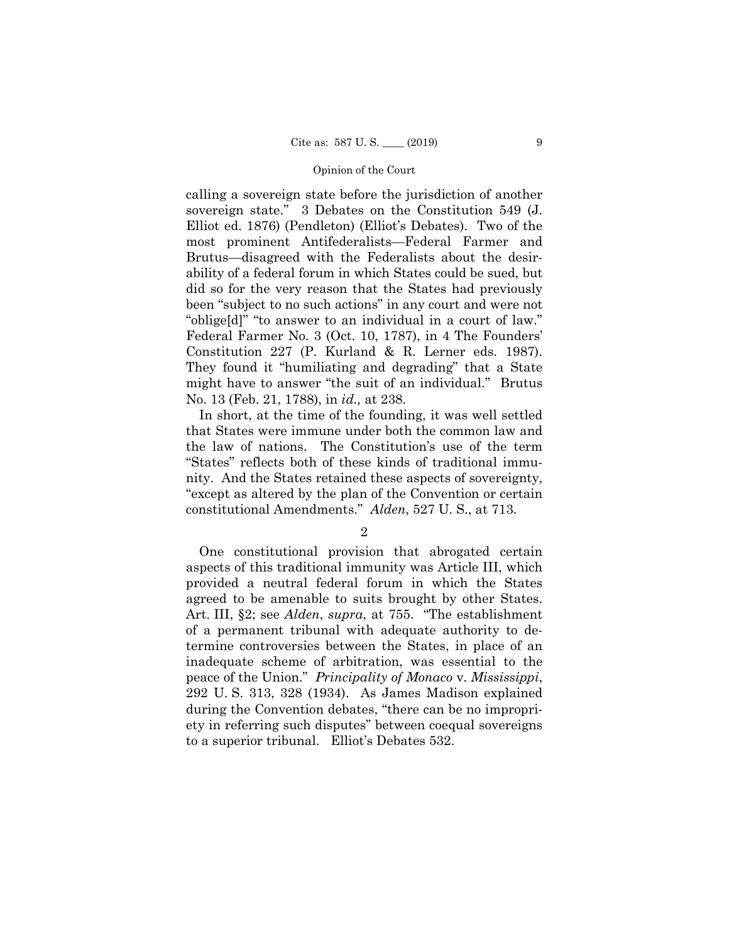calling a sovereign state before the jurisdiction of another sovereign state." 3 Debates on the Constitution 549 (J. Elliot ed. 1876) (Pendleton) (Elliot's Debates). Two of the most prominent Antifederalists—Federal Farmer and Brutus—disagreed with the Federalists about the desirability of a federal forum in which States could be sued, but did so for the very reason that the States had previously been "subject to no such actions" in any court and were not "oblige[d]" "to answer to an individual in a court of law." Federal Farmer No. 3 (Oct. 10, 1787), in 4 The Founders' Constitution 227 (P. Kurland & R. Lerner eds. 1987). They found it "humiliating and degrading" that a State might have to answer "the suit of an individual." Brutus No. 13 (Feb. 21, 1788), in *id.,* at 238.

In short, at the time of the founding, it was well settled that States were immune under both the common law and the law of nations. The Constitution's use of the term "States" reflects both of these kinds of traditional immunity. And the States retained these aspects of sovereignty, "except as altered by the plan of the Convention or certain constitutional Amendments." *Alden*, 527 U. S., at 713.

2

One constitutional provision that abrogated certain aspects of this traditional immunity was Article III, which provided a neutral federal forum in which the States agreed to be amenable to suits brought by other States. Art. III, §2; see *Alden*, *supra*, at 755. "The establishment of a permanent tribunal with adequate authority to determine controversies between the States, in place of an inadequate scheme of arbitration, was essential to the peace of the Union." *Principality of Monaco* v. *Mississippi*, 292 U. S. 313, 328 (1934). As James Madison explained during the Convention debates, "there can be no impropriety in referring such disputes" between coequal sovereigns to a superior tribunal. Elliot's Debates 532.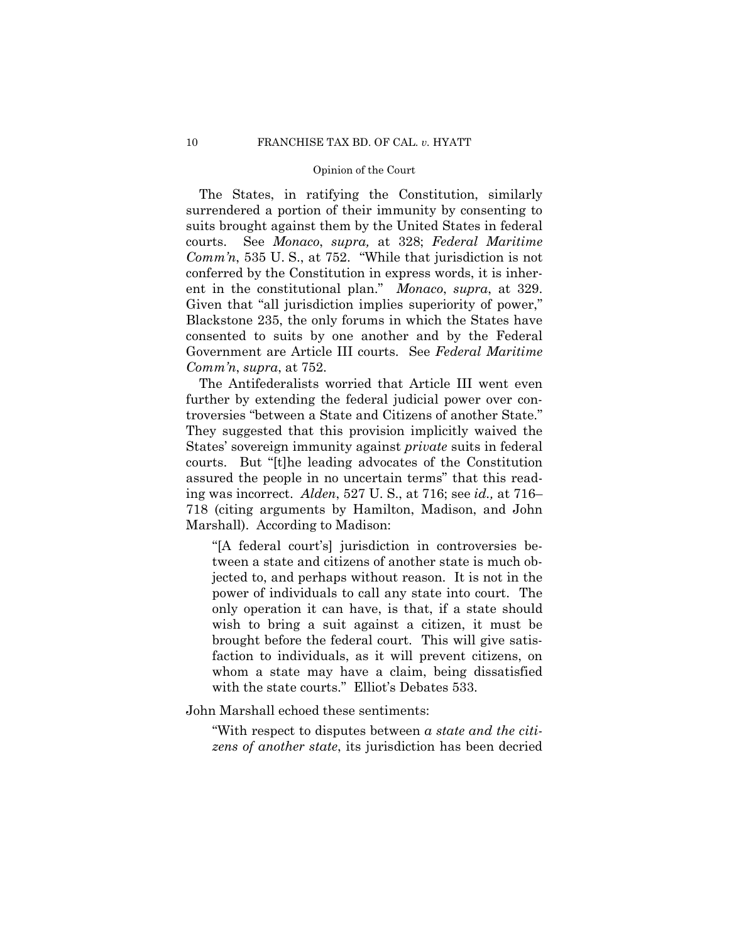The States, in ratifying the Constitution, similarly surrendered a portion of their immunity by consenting to suits brought against them by the United States in federal courts. See *Monaco*, *supra,* at 328; *Federal Maritime Comm'n*, 535 U. S., at 752. "While that jurisdiction is not conferred by the Constitution in express words, it is inherent in the constitutional plan." *Monaco*, *supra*, at 329. Given that "all jurisdiction implies superiority of power," Blackstone 235, the only forums in which the States have consented to suits by one another and by the Federal Government are Article III courts. See *Federal Maritime Comm'n*, *supra*, at 752.

The Antifederalists worried that Article III went even further by extending the federal judicial power over controversies "between a State and Citizens of another State." They suggested that this provision implicitly waived the States' sovereign immunity against *private* suits in federal courts. But "[t]he leading advocates of the Constitution assured the people in no uncertain terms" that this reading was incorrect. *Alden*, 527 U. S., at 716; see *id.,* at 716– 718 (citing arguments by Hamilton, Madison, and John Marshall). According to Madison:

"[A federal court's] jurisdiction in controversies between a state and citizens of another state is much objected to, and perhaps without reason. It is not in the power of individuals to call any state into court. The only operation it can have, is that, if a state should wish to bring a suit against a citizen, it must be brought before the federal court. This will give satisfaction to individuals, as it will prevent citizens, on whom a state may have a claim, being dissatisfied with the state courts." Elliot's Debates 533.

John Marshall echoed these sentiments:

"With respect to disputes between *a state and the citizens of another state*, its jurisdiction has been decried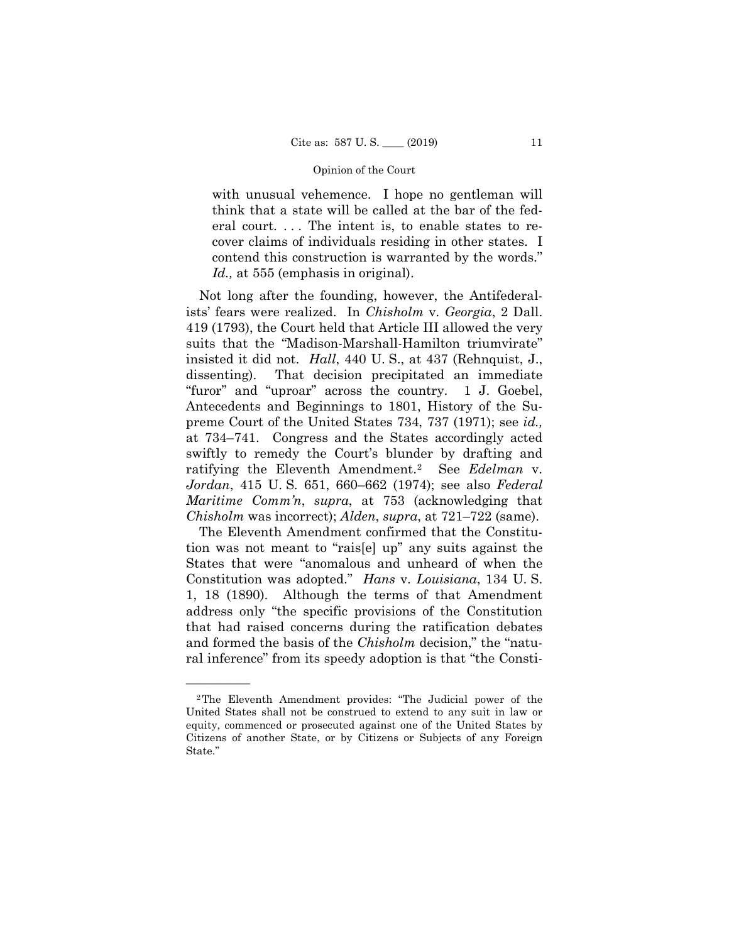with unusual vehemence. I hope no gentleman will think that a state will be called at the bar of the federal court. ... The intent is, to enable states to recover claims of individuals residing in other states. I contend this construction is warranted by the words." *Id.,* at 555 (emphasis in original).

Not long after the founding, however, the Antifederalists' fears were realized. In *Chisholm* v. *Georgia*, 2 Dall. 419 (1793), the Court held that Article III allowed the very suits that the "Madison-Marshall-Hamilton triumvirate" insisted it did not. *Hall*, 440 U. S., at 437 (Rehnquist, J., dissenting). That decision precipitated an immediate "furor" and "uproar" across the country. 1 J. Goebel, Antecedents and Beginnings to 1801, History of the Supreme Court of the United States 734, 737 (1971); see *id.,* at 734–741. Congress and the States accordingly acted swiftly to remedy the Court's blunder by drafting and ratifying the Eleventh Amendment.[2](#page-13-0) See *Edelman* v. *Jordan*, 415 U. S. 651, 660–662 (1974); see also *Federal Maritime Comm'n*, *supra*, at 753 (acknowledging that *Chisholm* was incorrect); *Alden*, *supra*, at 721–722 (same).

The Eleventh Amendment confirmed that the Constitution was not meant to "rais[e] up" any suits against the States that were "anomalous and unheard of when the Constitution was adopted." *Hans* v. *Louisiana*, 134 U. S. 1, 18 (1890). Although the terms of that Amendment address only "the specific provisions of the Constitution that had raised concerns during the ratification debates and formed the basis of the *Chisholm* decision," the "natural inference" from its speedy adoption is that "the Consti-

——————

<span id="page-13-0"></span><sup>2</sup>The Eleventh Amendment provides: "The Judicial power of the United States shall not be construed to extend to any suit in law or equity, commenced or prosecuted against one of the United States by Citizens of another State, or by Citizens or Subjects of any Foreign State."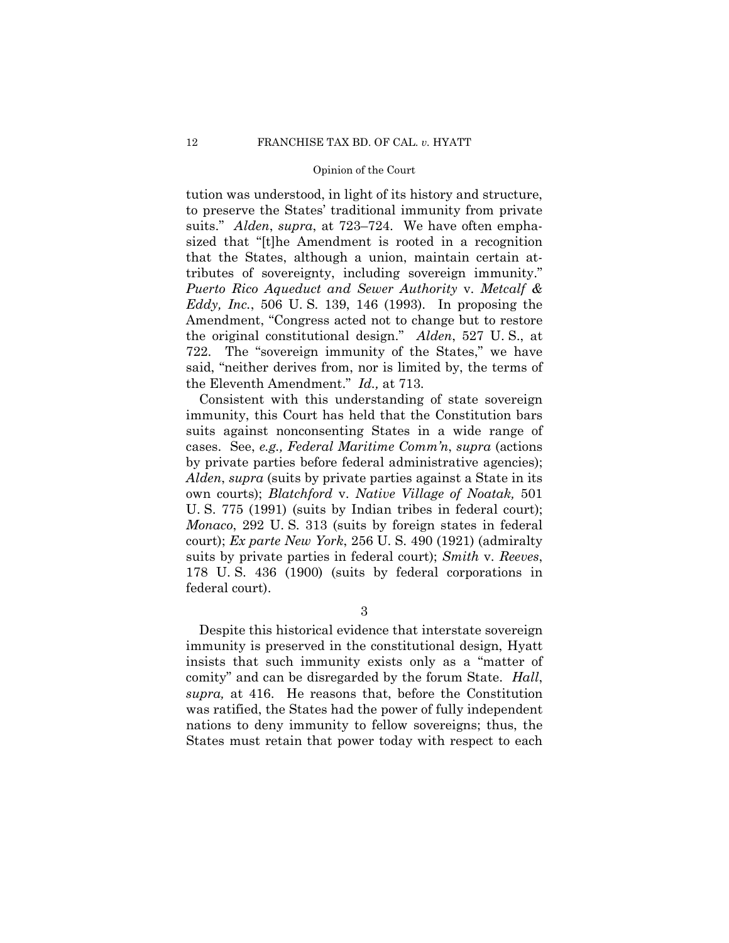tution was understood, in light of its history and structure, to preserve the States' traditional immunity from private suits." *Alden*, *supra*, at 723–724. We have often emphasized that "[t]he Amendment is rooted in a recognition that the States, although a union, maintain certain attributes of sovereignty, including sovereign immunity." *Puerto Rico Aqueduct and Sewer Authority* v. *Metcalf & Eddy, Inc.*, 506 U. S. 139, 146 (1993). In proposing the Amendment, "Congress acted not to change but to restore the original constitutional design." *Alden*, 527 U. S., at 722. The "sovereign immunity of the States," we have said, "neither derives from, nor is limited by, the terms of the Eleventh Amendment." *Id.,* at 713.

Consistent with this understanding of state sovereign immunity, this Court has held that the Constitution bars suits against nonconsenting States in a wide range of cases. See, *e.g., Federal Maritime Comm'n*, *supra* (actions by private parties before federal administrative agencies); *Alden*, *supra* (suits by private parties against a State in its own courts); *Blatchford* v. *Native Village of Noatak,* 501 U. S. 775 (1991) (suits by Indian tribes in federal court); *Monaco*, 292 U. S. 313 (suits by foreign states in federal court); *Ex parte New York*, 256 U. S. 490 (1921) (admiralty suits by private parties in federal court); *Smith* v. *Reeves*, 178 U. S. 436 (1900) (suits by federal corporations in federal court).

3

Despite this historical evidence that interstate sovereign immunity is preserved in the constitutional design, Hyatt insists that such immunity exists only as a "matter of comity" and can be disregarded by the forum State. *Hall*, *supra,* at 416. He reasons that, before the Constitution was ratified, the States had the power of fully independent nations to deny immunity to fellow sovereigns; thus, the States must retain that power today with respect to each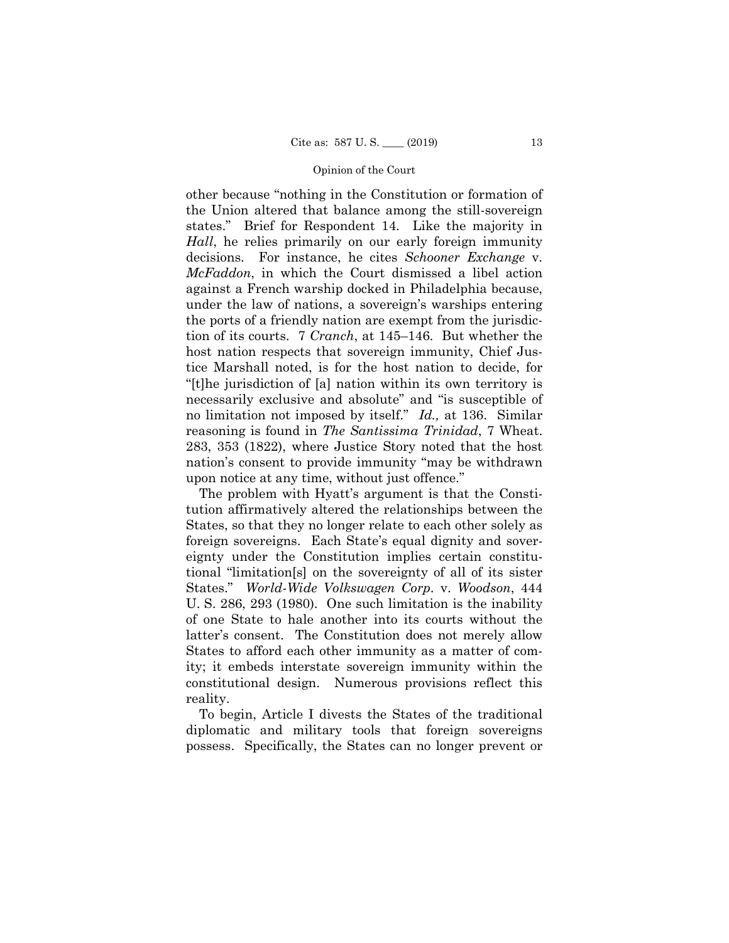other because "nothing in the Constitution or formation of the Union altered that balance among the still-sovereign states." Brief for Respondent 14. Like the majority in *Hall*, he relies primarily on our early foreign immunity decisions. For instance, he cites *Schooner Exchange* v. *McFaddon*, in which the Court dismissed a libel action against a French warship docked in Philadelphia because, under the law of nations, a sovereign's warships entering the ports of a friendly nation are exempt from the jurisdiction of its courts. 7 *Cranch*, at 145–146. But whether the host nation respects that sovereign immunity, Chief Justice Marshall noted, is for the host nation to decide, for "[t]he jurisdiction of [a] nation within its own territory is necessarily exclusive and absolute" and "is susceptible of no limitation not imposed by itself." *Id.,* at 136. Similar reasoning is found in *The Santissima Trinidad*, 7 Wheat. 283, 353 (1822), where Justice Story noted that the host nation's consent to provide immunity "may be withdrawn upon notice at any time, without just offence."

The problem with Hyatt's argument is that the Constitution affirmatively altered the relationships between the States, so that they no longer relate to each other solely as foreign sovereigns. Each State's equal dignity and sovereignty under the Constitution implies certain constitutional "limitation[s] on the sovereignty of all of its sister States." *World-Wide Volkswagen Corp.* v. *Woodson*, 444 U. S. 286, 293 (1980). One such limitation is the inability of one State to hale another into its courts without the latter's consent. The Constitution does not merely allow States to afford each other immunity as a matter of comity; it embeds interstate sovereign immunity within the constitutional design. Numerous provisions reflect this reality.

To begin, Article I divests the States of the traditional diplomatic and military tools that foreign sovereigns possess. Specifically, the States can no longer prevent or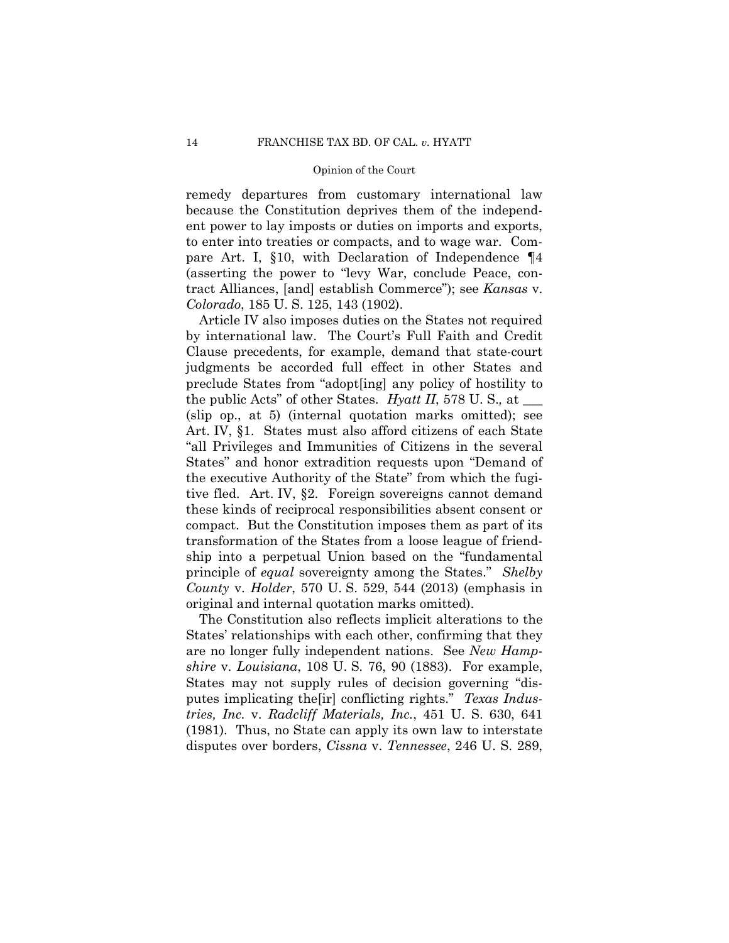remedy departures from customary international law because the Constitution deprives them of the independent power to lay imposts or duties on imports and exports, to enter into treaties or compacts, and to wage war. Compare Art. I, §10, with Declaration of Independence ¶4 (asserting the power to "levy War, conclude Peace, contract Alliances, [and] establish Commerce"); see *Kansas* v. *Colorado*, 185 U. S. 125, 143 (1902).

Article IV also imposes duties on the States not required by international law. The Court's Full Faith and Credit Clause precedents, for example, demand that state-court judgments be accorded full effect in other States and preclude States from "adopt[ing] any policy of hostility to the public Acts" of other States. *Hyatt II*, 578 U. S.*,* at \_\_\_ (slip op., at 5) (internal quotation marks omitted); see Art. IV, §1. States must also afford citizens of each State "all Privileges and Immunities of Citizens in the several States" and honor extradition requests upon "Demand of the executive Authority of the State" from which the fugitive fled. Art. IV, §2. Foreign sovereigns cannot demand these kinds of reciprocal responsibilities absent consent or compact. But the Constitution imposes them as part of its transformation of the States from a loose league of friendship into a perpetual Union based on the "fundamental principle of *equal* sovereignty among the States." *Shelby County* v. *Holder*, 570 U. S. 529, 544 (2013) (emphasis in original and internal quotation marks omitted).

The Constitution also reflects implicit alterations to the States' relationships with each other, confirming that they are no longer fully independent nations. See *New Hampshire* v. *Louisiana*, 108 U. S. 76, 90 (1883). For example, States may not supply rules of decision governing "disputes implicating the[ir] conflicting rights." *Texas Industries, Inc.* v. *Radcliff Materials, Inc.*, 451 U. S. 630, 641 (1981). Thus, no State can apply its own law to interstate disputes over borders, *Cissna* v. *Tennessee*, 246 U. S. 289,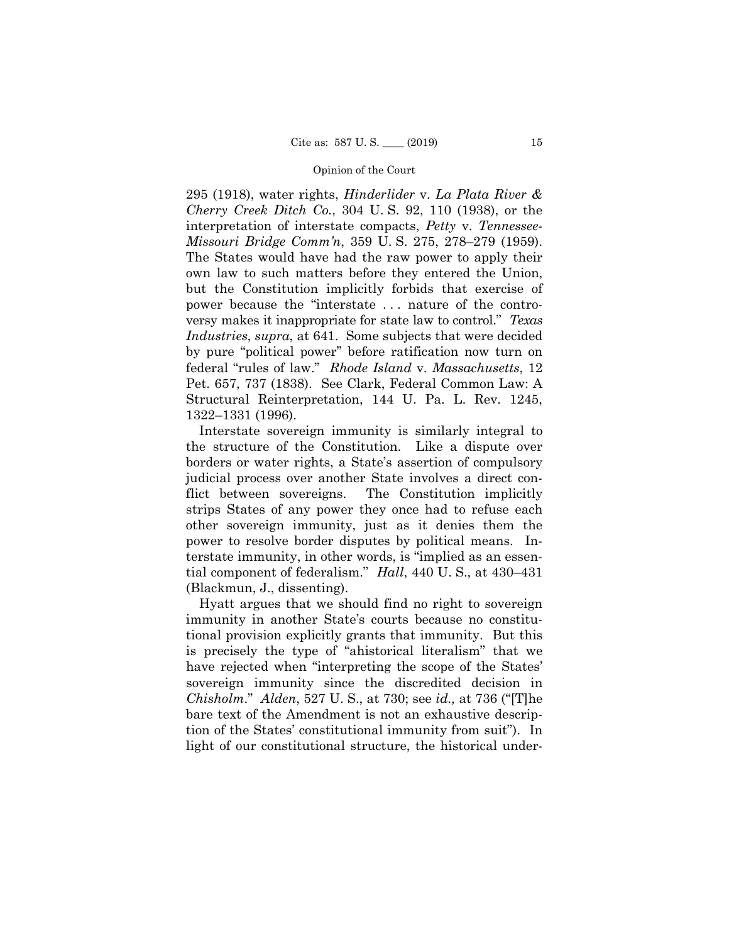295 (1918), water rights, *Hinderlider* v. *La Plata River & Cherry Creek Ditch Co.*, 304 U. S. 92, 110 (1938), or the interpretation of interstate compacts, *Petty* v. *Tennessee-Missouri Bridge Comm'n*, 359 U. S. 275, 278–279 (1959). The States would have had the raw power to apply their own law to such matters before they entered the Union, but the Constitution implicitly forbids that exercise of power because the "interstate . . . nature of the controversy makes it inappropriate for state law to control." *Texas Industries*, *supra*, at 641. Some subjects that were decided by pure "political power" before ratification now turn on federal "rules of law." *Rhode Island* v. *Massachusetts*, 12 Pet. 657, 737 (1838). See Clark, Federal Common Law: A Structural Reinterpretation, 144 U. Pa. L. Rev. 1245, 1322–1331 (1996).

Interstate sovereign immunity is similarly integral to the structure of the Constitution. Like a dispute over borders or water rights, a State's assertion of compulsory judicial process over another State involves a direct conflict between sovereigns. The Constitution implicitly strips States of any power they once had to refuse each other sovereign immunity, just as it denies them the power to resolve border disputes by political means. Interstate immunity, in other words, is "implied as an essential component of federalism." *Hall*, 440 U. S., at 430–431 (Blackmun, J., dissenting).

Hyatt argues that we should find no right to sovereign immunity in another State's courts because no constitutional provision explicitly grants that immunity. But this is precisely the type of "ahistorical literalism" that we have rejected when "interpreting the scope of the States' sovereign immunity since the discredited decision in *Chisholm*." *Alden*, 527 U. S., at 730; see *id.,* at 736 ("[T]he bare text of the Amendment is not an exhaustive description of the States' constitutional immunity from suit"). In light of our constitutional structure, the historical under-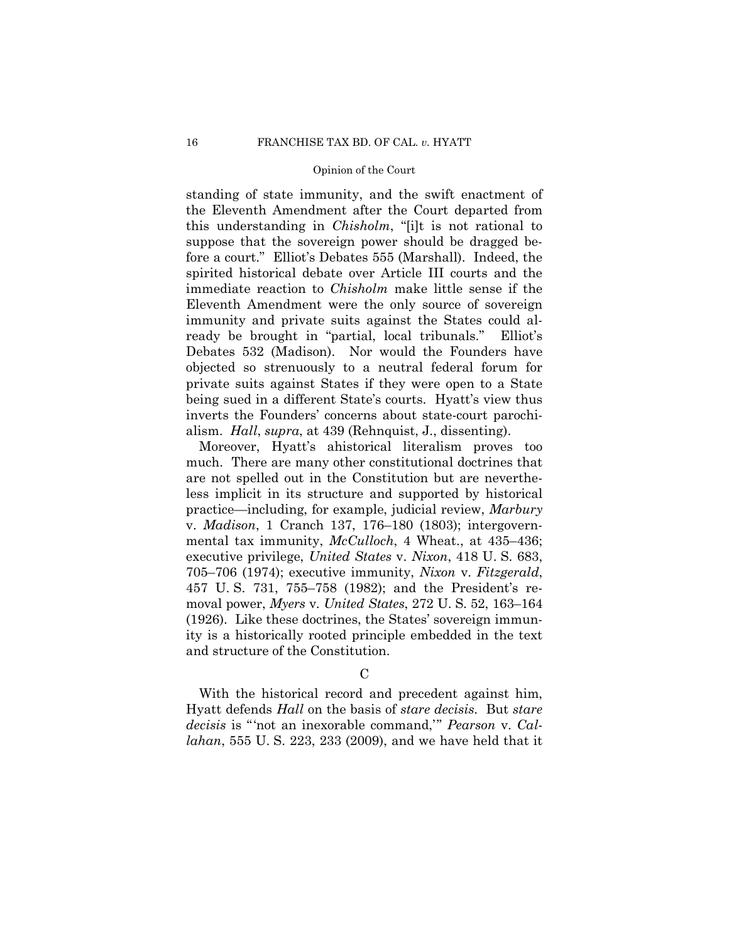standing of state immunity, and the swift enactment of the Eleventh Amendment after the Court departed from this understanding in *Chisholm*, "[i]t is not rational to suppose that the sovereign power should be dragged before a court." Elliot's Debates 555 (Marshall). Indeed, the spirited historical debate over Article III courts and the immediate reaction to *Chisholm* make little sense if the Eleventh Amendment were the only source of sovereign immunity and private suits against the States could already be brought in "partial, local tribunals." Elliot's Debates 532 (Madison). Nor would the Founders have objected so strenuously to a neutral federal forum for private suits against States if they were open to a State being sued in a different State's courts. Hyatt's view thus inverts the Founders' concerns about state-court parochialism. *Hall*, *supra*, at 439 (Rehnquist, J., dissenting).

Moreover, Hyatt's ahistorical literalism proves too much. There are many other constitutional doctrines that are not spelled out in the Constitution but are nevertheless implicit in its structure and supported by historical practice—including, for example, judicial review, *Marbury* v. *Madison*, 1 Cranch 137, 176–180 (1803); intergovernmental tax immunity, *McCulloch*, 4 Wheat., at 435–436; executive privilege, *United States* v. *Nixon*, 418 U. S. 683, 705–706 (1974); executive immunity, *Nixon* v. *Fitzgerald*, 457 U. S. 731, 755–758 (1982); and the President's removal power, *Myers* v. *United States*, 272 U. S. 52, 163–164 (1926). Like these doctrines, the States' sovereign immunity is a historically rooted principle embedded in the text and structure of the Constitution.

 $\mathcal{C}$ 

With the historical record and precedent against him, Hyatt defends *Hall* on the basis of *stare decisis*. But *stare decisis* is "'not an inexorable command,'" *Pearson* v. *Callahan*, 555 U. S. 223, 233 (2009), and we have held that it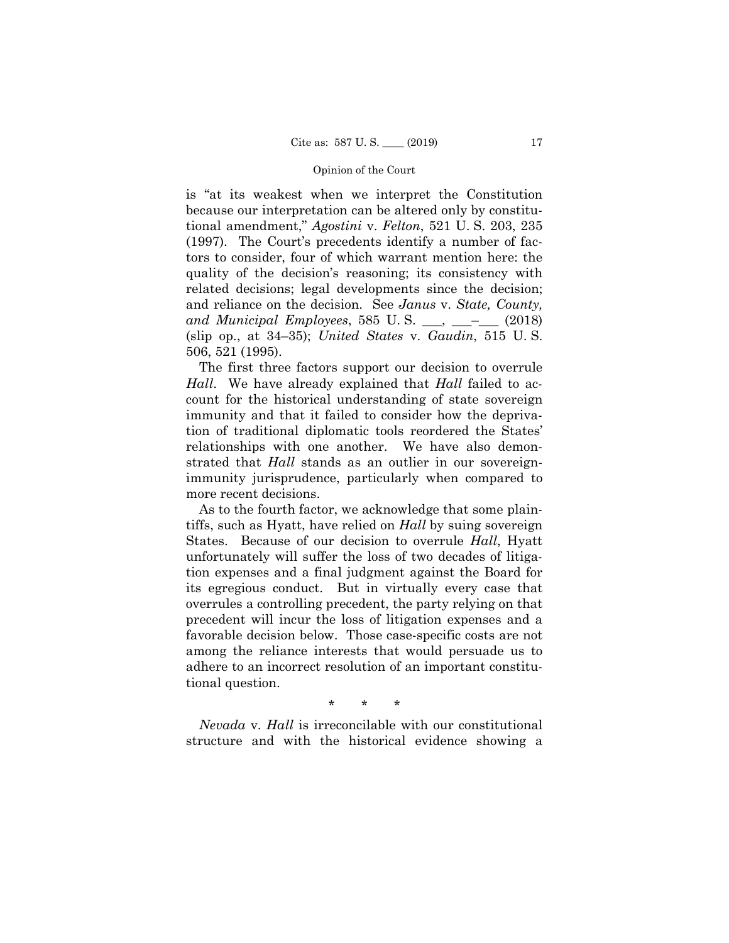is "at its weakest when we interpret the Constitution because our interpretation can be altered only by constitutional amendment," *Agostini* v. *Felton*, 521 U. S. 203, 235 (1997). The Court's precedents identify a number of factors to consider, four of which warrant mention here: the quality of the decision's reasoning; its consistency with related decisions; legal developments since the decision; and reliance on the decision. See *Janus* v. *State, County, and Municipal Employees*, 585 U. S. \_\_\_, \_\_\_–\_\_\_ (2018) (slip op., at 34–35); *United States* v. *Gaudin*, 515 U. S. 506, 521 (1995).

The first three factors support our decision to overrule *Hall*.We have already explained that *Hall* failed to account for the historical understanding of state sovereign immunity and that it failed to consider how the deprivation of traditional diplomatic tools reordered the States' relationships with one another. We have also demonstrated that *Hall* stands as an outlier in our sovereignimmunity jurisprudence, particularly when compared to more recent decisions.

As to the fourth factor, we acknowledge that some plaintiffs, such as Hyatt, have relied on *Hall* by suing sovereign States. Because of our decision to overrule *Hall*, Hyatt unfortunately will suffer the loss of two decades of litigation expenses and a final judgment against the Board for its egregious conduct. But in virtually every case that overrules a controlling precedent, the party relying on that precedent will incur the loss of litigation expenses and a favorable decision below. Those case-specific costs are not among the reliance interests that would persuade us to adhere to an incorrect resolution of an important constitutional question.

\* \* \*

*Nevada* v. *Hall* is irreconcilable with our constitutional structure and with the historical evidence showing a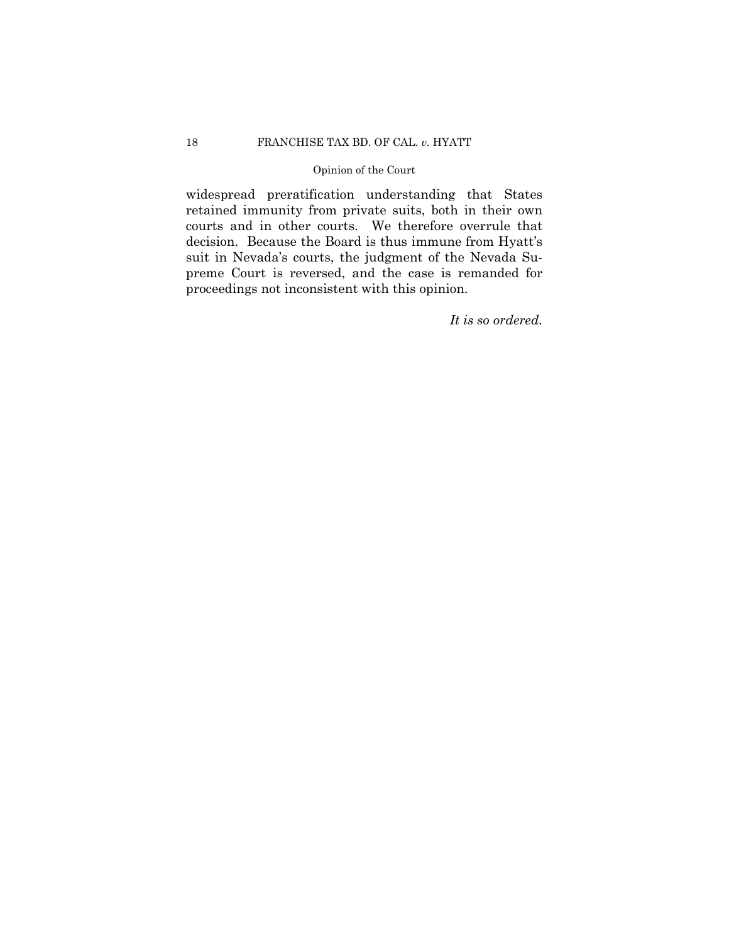widespread preratification understanding that States retained immunity from private suits, both in their own courts and in other courts. We therefore overrule that decision. Because the Board is thus immune from Hyatt's suit in Nevada's courts, the judgment of the Nevada Supreme Court is reversed, and the case is remanded for proceedings not inconsistent with this opinion.

*It is so ordered.*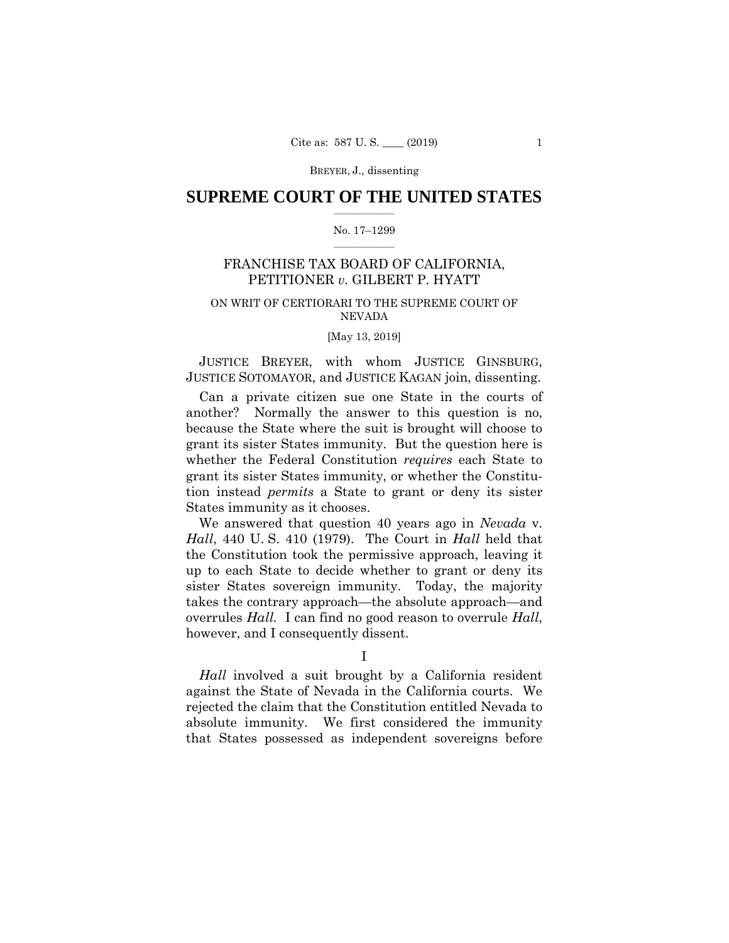# **SUPREME COURT OF THE UNITED STATES**  $\overline{\phantom{a}}$  , where  $\overline{\phantom{a}}$

#### No. 17–1299  $\overline{\phantom{a}}$  , where  $\overline{\phantom{a}}$

# FRANCHISE TAX BOARD OF CALIFORNIA, PETITIONER *v.* GILBERT P. HYATT

# ON WRIT OF CERTIORARI TO THE SUPREME COURT OF NEVADA

#### [May 13, 2019]

 JUSTICE BREYER, with whom JUSTICE GINSBURG, JUSTICE SOTOMAYOR, and JUSTICE KAGAN join, dissenting.

Can a private citizen sue one State in the courts of another? Normally the answer to this question is no, because the State where the suit is brought will choose to grant its sister States immunity. But the question here is whether the Federal Constitution *requires* each State to grant its sister States immunity, or whether the Constitution instead *permits* a State to grant or deny its sister States immunity as it chooses.

We answered that question 40 years ago in *Nevada* v. *Hall*, 440 U. S. 410 (1979). The Court in *Hall* held that the Constitution took the permissive approach, leaving it up to each State to decide whether to grant or deny its sister States sovereign immunity. Today, the majority takes the contrary approach—the absolute approach—and overrules *Hall.* I can find no good reason to overrule *Hall*, however, and I consequently dissent.

*Hall* involved a suit brought by a California resident against the State of Nevada in the California courts. We rejected the claim that the Constitution entitled Nevada to absolute immunity. We first considered the immunity that States possessed as independent sovereigns before

I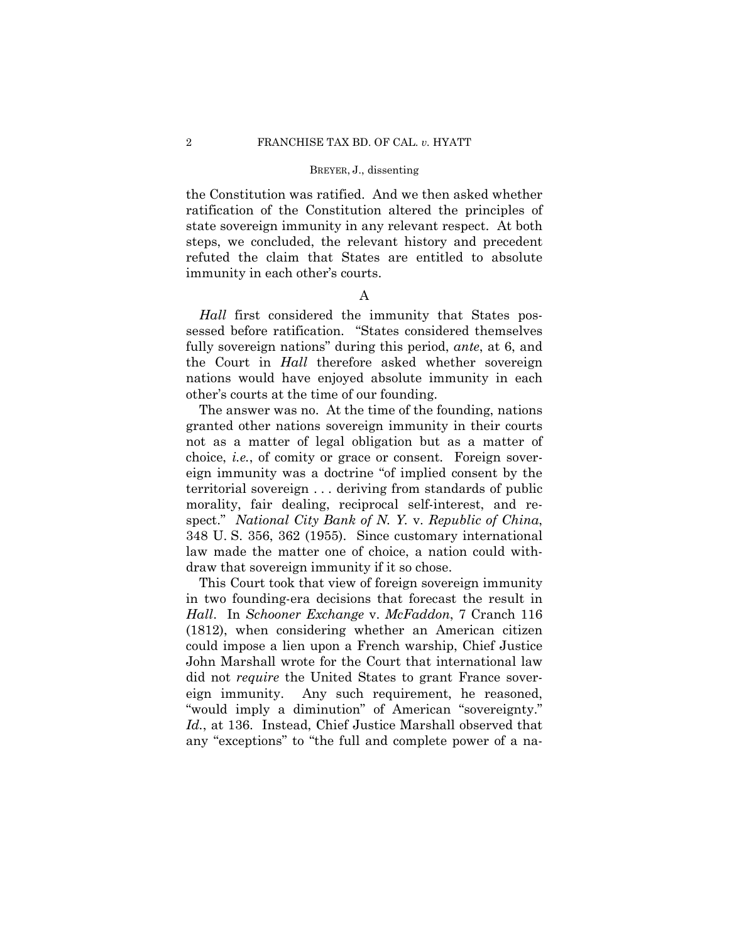the Constitution was ratified. And we then asked whether ratification of the Constitution altered the principles of state sovereign immunity in any relevant respect. At both steps, we concluded, the relevant history and precedent refuted the claim that States are entitled to absolute immunity in each other's courts.

### A

*Hall* first considered the immunity that States possessed before ratification. "States considered themselves fully sovereign nations" during this period, *ante*, at 6, and the Court in *Hall* therefore asked whether sovereign nations would have enjoyed absolute immunity in each other's courts at the time of our founding.

The answer was no. At the time of the founding, nations granted other nations sovereign immunity in their courts not as a matter of legal obligation but as a matter of choice, *i.e.*, of comity or grace or consent. Foreign sovereign immunity was a doctrine "of implied consent by the territorial sovereign . . . deriving from standards of public morality, fair dealing, reciprocal self-interest, and respect." *National City Bank of N. Y.* v. *Republic of China*, 348 U. S. 356, 362 (1955). Since customary international law made the matter one of choice, a nation could withdraw that sovereign immunity if it so chose.

 This Court took that view of foreign sovereign immunity in two founding-era decisions that forecast the result in *Hall*. In *Schooner Exchange* v. *McFaddon*, 7 Cranch 116 (1812), when considering whether an American citizen could impose a lien upon a French warship, Chief Justice John Marshall wrote for the Court that international law did not *require* the United States to grant France sovereign immunity. Any such requirement, he reasoned, "would imply a diminution" of American "sovereignty." *Id.*, at 136. Instead, Chief Justice Marshall observed that any "exceptions" to "the full and complete power of a na-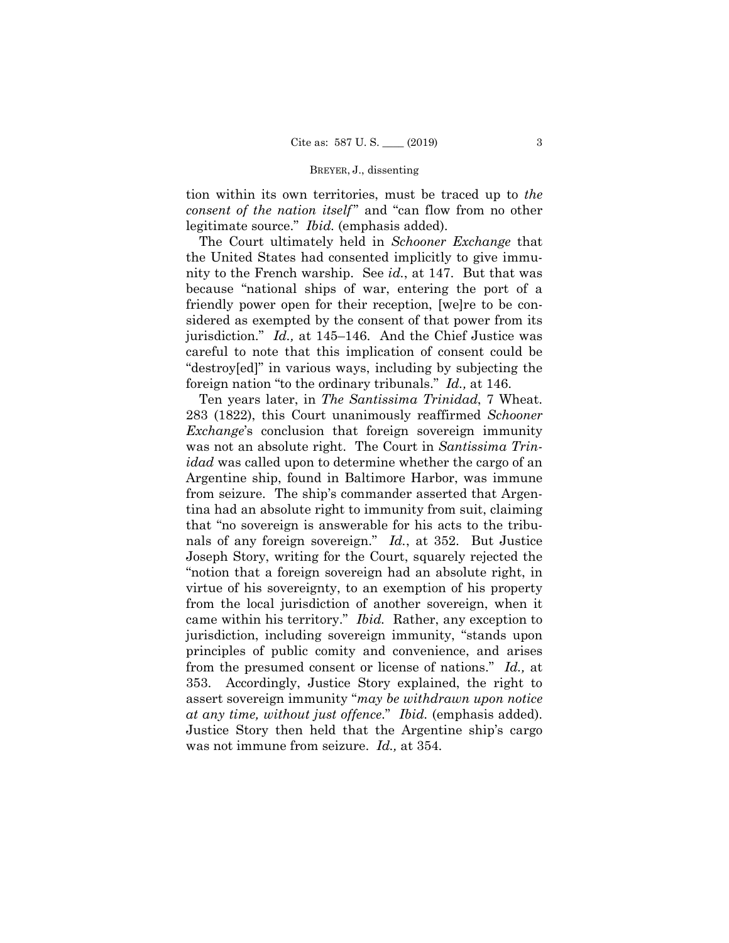tion within its own territories, must be traced up to *the consent of the nation itself*" and "can flow from no other legitimate source." *Ibid.* (emphasis added).

The Court ultimately held in *Schooner Exchange* that the United States had consented implicitly to give immunity to the French warship. See *id.*, at 147. But that was because "national ships of war, entering the port of a friendly power open for their reception, [we]re to be considered as exempted by the consent of that power from its jurisdiction." *Id.,* at 145–146. And the Chief Justice was careful to note that this implication of consent could be "destroy[ed]" in various ways, including by subjecting the foreign nation "to the ordinary tribunals." *Id.,* at 146.

Ten years later, in *The Santissima Trinidad*, 7 Wheat. 283 (1822), this Court unanimously reaffirmed *Schooner Exchange*'s conclusion that foreign sovereign immunity was not an absolute right. The Court in *Santissima Trinidad* was called upon to determine whether the cargo of an Argentine ship, found in Baltimore Harbor, was immune from seizure. The ship's commander asserted that Argentina had an absolute right to immunity from suit, claiming that "no sovereign is answerable for his acts to the tribunals of any foreign sovereign." *Id.*, at 352. But Justice Joseph Story, writing for the Court, squarely rejected the "notion that a foreign sovereign had an absolute right, in virtue of his sovereignty, to an exemption of his property from the local jurisdiction of another sovereign, when it came within his territory." *Ibid.* Rather, any exception to jurisdiction, including sovereign immunity, "stands upon principles of public comity and convenience, and arises from the presumed consent or license of nations." *Id.,* at 353. Accordingly, Justice Story explained, the right to assert sovereign immunity "*may be withdrawn upon notice at any time, without just offence*." *Ibid.* (emphasis added). Justice Story then held that the Argentine ship's cargo was not immune from seizure. *Id.,* at 354.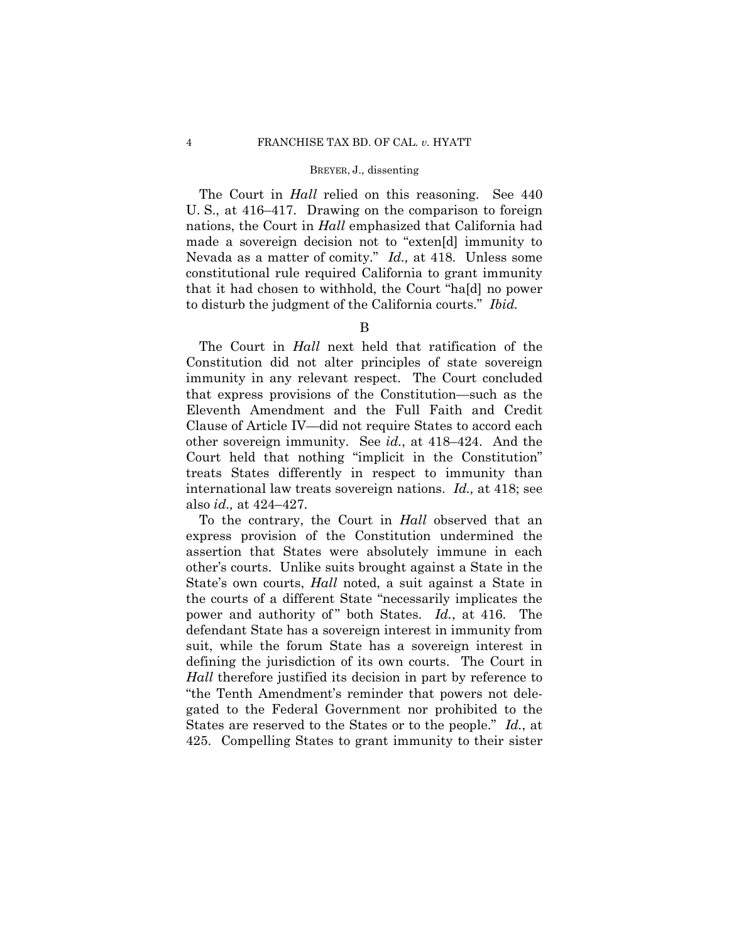The Court in *Hall* relied on this reasoning. See 440 U. S., at 416–417. Drawing on the comparison to foreign nations, the Court in *Hall* emphasized that California had made a sovereign decision not to "exten[d] immunity to Nevada as a matter of comity." *Id.,* at 418. Unless some constitutional rule required California to grant immunity that it had chosen to withhold, the Court "ha[d] no power to disturb the judgment of the California courts." *Ibid.*

B

 The Court in *Hall* next held that ratification of the Constitution did not alter principles of state sovereign immunity in any relevant respect. The Court concluded that express provisions of the Constitution—such as the Eleventh Amendment and the Full Faith and Credit Clause of Article IV—did not require States to accord each other sovereign immunity. See *id.*, at 418–424. And the Court held that nothing "implicit in the Constitution" treats States differently in respect to immunity than international law treats sovereign nations. *Id.,* at 418; see also *id.,* at 424–427.

To the contrary, the Court in *Hall* observed that an express provision of the Constitution undermined the assertion that States were absolutely immune in each other's courts. Unlike suits brought against a State in the State's own courts, *Hall* noted, a suit against a State in the courts of a different State "necessarily implicates the power and authority of" both States. *Id.*, at 416. The defendant State has a sovereign interest in immunity from suit, while the forum State has a sovereign interest in defining the jurisdiction of its own courts. The Court in *Hall* therefore justified its decision in part by reference to "the Tenth Amendment's reminder that powers not delegated to the Federal Government nor prohibited to the States are reserved to the States or to the people." *Id.*, at 425. Compelling States to grant immunity to their sister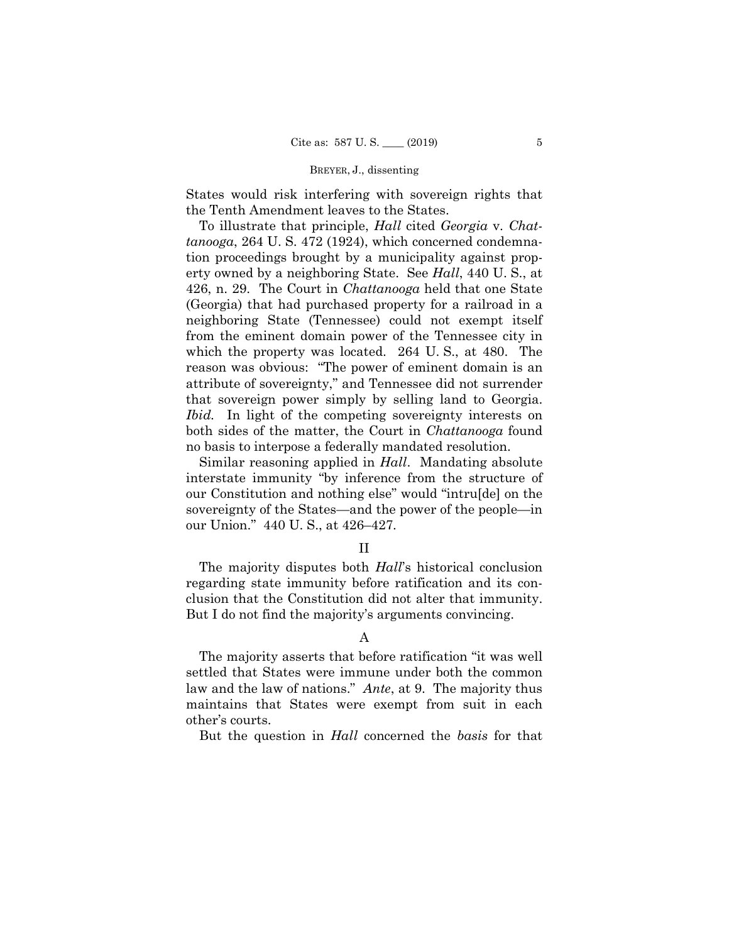States would risk interfering with sovereign rights that the Tenth Amendment leaves to the States.

To illustrate that principle, *Hall* cited *Georgia* v. *Chattanooga*, 264 U. S. 472 (1924), which concerned condemnation proceedings brought by a municipality against property owned by a neighboring State. See *Hall*, 440 U. S., at 426, n. 29. The Court in *Chattanooga* held that one State (Georgia) that had purchased property for a railroad in a neighboring State (Tennessee) could not exempt itself from the eminent domain power of the Tennessee city in which the property was located. 264 U. S., at 480. The reason was obvious: "The power of eminent domain is an attribute of sovereignty," and Tennessee did not surrender that sovereign power simply by selling land to Georgia. *Ibid.* In light of the competing sovereignty interests on both sides of the matter, the Court in *Chattanooga* found no basis to interpose a federally mandated resolution.

Similar reasoning applied in *Hall*. Mandating absolute interstate immunity "by inference from the structure of our Constitution and nothing else" would "intru[de] on the sovereignty of the States—and the power of the people—in our Union." 440 U. S., at 426–427.

# II

The majority disputes both *Hall*'s historical conclusion regarding state immunity before ratification and its conclusion that the Constitution did not alter that immunity. But I do not find the majority's arguments convincing.

# A

The majority asserts that before ratification "it was well settled that States were immune under both the common law and the law of nations." *Ante*, at 9. The majority thus maintains that States were exempt from suit in each other's courts.

But the question in *Hall* concerned the *basis* for that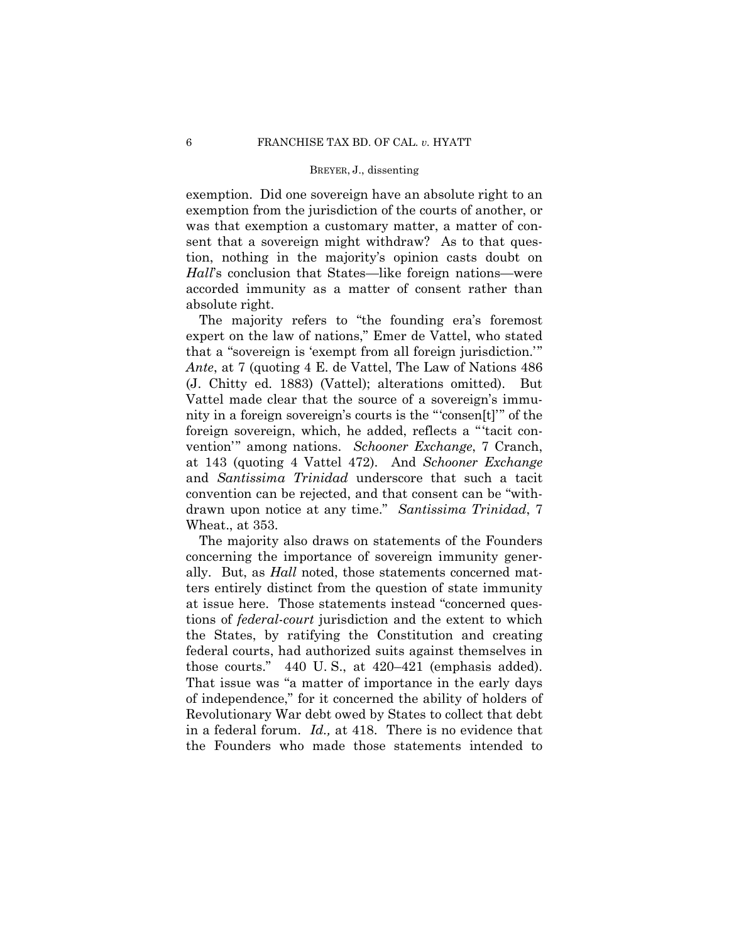exemption. Did one sovereign have an absolute right to an exemption from the jurisdiction of the courts of another, or was that exemption a customary matter, a matter of consent that a sovereign might withdraw? As to that question, nothing in the majority's opinion casts doubt on *Hall*'s conclusion that States—like foreign nations—were accorded immunity as a matter of consent rather than absolute right.

 The majority refers to "the founding era's foremost expert on the law of nations," Emer de Vattel, who stated that a "sovereign is 'exempt from all foreign jurisdiction.'" *Ante*, at 7 (quoting 4 E. de Vattel, The Law of Nations 486 (J. Chitty ed. 1883) (Vattel); alterations omitted). But Vattel made clear that the source of a sovereign's immunity in a foreign sovereign's courts is the "'consen[t]'" of the foreign sovereign, which, he added, reflects a "'tacit convention'" among nations. *Schooner Exchange*, 7 Cranch, at 143 (quoting 4 Vattel 472). And *Schooner Exchange* and *Santissima Trinidad* underscore that such a tacit convention can be rejected, and that consent can be "withdrawn upon notice at any time." *Santissima Trinidad*, 7 Wheat., at 353.

The majority also draws on statements of the Founders concerning the importance of sovereign immunity generally. But, as *Hall* noted, those statements concerned matters entirely distinct from the question of state immunity at issue here. Those statements instead "concerned questions of *federal*-*court* jurisdiction and the extent to which the States, by ratifying the Constitution and creating federal courts, had authorized suits against themselves in those courts." 440 U. S., at 420–421 (emphasis added). That issue was "a matter of importance in the early days of independence," for it concerned the ability of holders of Revolutionary War debt owed by States to collect that debt in a federal forum. *Id.,* at 418. There is no evidence that the Founders who made those statements intended to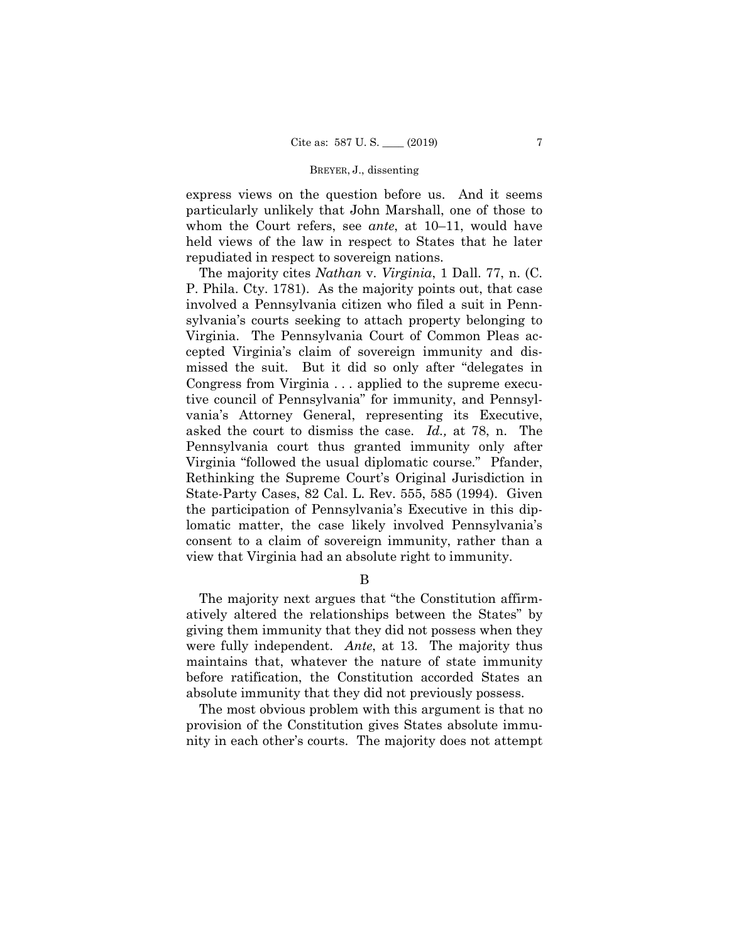express views on the question before us. And it seems particularly unlikely that John Marshall, one of those to whom the Court refers, see *ante*, at 10–11, would have held views of the law in respect to States that he later repudiated in respect to sovereign nations.

The majority cites *Nathan* v. *Virginia*, 1 Dall. 77, n. (C. P. Phila. Cty. 1781). As the majority points out, that case involved a Pennsylvania citizen who filed a suit in Pennsylvania's courts seeking to attach property belonging to Virginia. The Pennsylvania Court of Common Pleas accepted Virginia's claim of sovereign immunity and dismissed the suit. But it did so only after "delegates in Congress from Virginia . . . applied to the supreme executive council of Pennsylvania" for immunity, and Pennsylvania's Attorney General, representing its Executive, asked the court to dismiss the case. *Id.,* at 78, n. The Pennsylvania court thus granted immunity only after Virginia "followed the usual diplomatic course." Pfander, Rethinking the Supreme Court's Original Jurisdiction in State-Party Cases, 82 Cal. L. Rev. 555, 585 (1994). Given the participation of Pennsylvania's Executive in this diplomatic matter, the case likely involved Pennsylvania's consent to a claim of sovereign immunity, rather than a view that Virginia had an absolute right to immunity.

B

The majority next argues that "the Constitution affirmatively altered the relationships between the States" by giving them immunity that they did not possess when they were fully independent. *Ante*, at 13. The majority thus maintains that, whatever the nature of state immunity before ratification, the Constitution accorded States an absolute immunity that they did not previously possess.

The most obvious problem with this argument is that no provision of the Constitution gives States absolute immunity in each other's courts. The majority does not attempt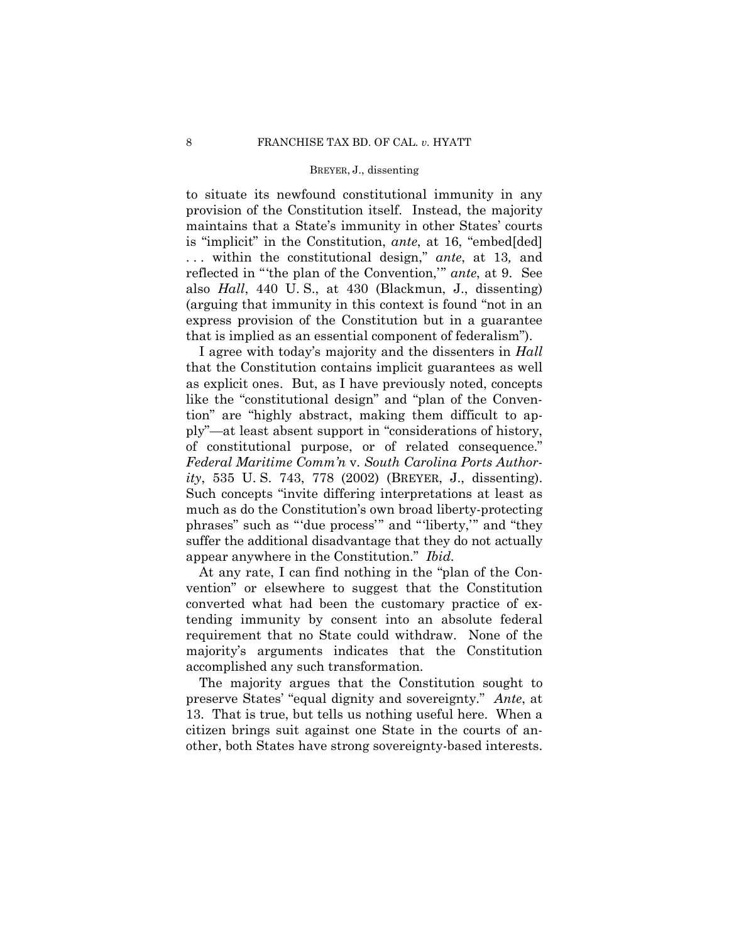to situate its newfound constitutional immunity in any provision of the Constitution itself. Instead, the majority maintains that a State's immunity in other States' courts is "implicit" in the Constitution, *ante*, at 16, "embed[ded] . . . within the constitutional design," *ante*, at 13*,* and reflected in "'the plan of the Convention,'" *ante*, at 9. See also *Hall*, 440 U. S., at 430 (Blackmun, J., dissenting) (arguing that immunity in this context is found "not in an express provision of the Constitution but in a guarantee that is implied as an essential component of federalism").

I agree with today's majority and the dissenters in *Hall*  that the Constitution contains implicit guarantees as well as explicit ones. But, as I have previously noted, concepts like the "constitutional design" and "plan of the Convention" are "highly abstract, making them difficult to apply"—at least absent support in "considerations of history, of constitutional purpose, or of related consequence." *Federal Maritime Comm'n* v. *South Carolina Ports Authority*, 535 U. S. 743, 778 (2002) (BREYER, J., dissenting). Such concepts "invite differing interpretations at least as much as do the Constitution's own broad liberty-protecting phrases" such as "'due process'" and "'liberty,'" and "they suffer the additional disadvantage that they do not actually appear anywhere in the Constitution." *Ibid.*

At any rate, I can find nothing in the "plan of the Convention" or elsewhere to suggest that the Constitution converted what had been the customary practice of extending immunity by consent into an absolute federal requirement that no State could withdraw. None of the majority's arguments indicates that the Constitution accomplished any such transformation.

 The majority argues that the Constitution sought to preserve States' "equal dignity and sovereignty." *Ante*, at 13.That is true, but tells us nothing useful here. When a citizen brings suit against one State in the courts of another, both States have strong sovereignty-based interests.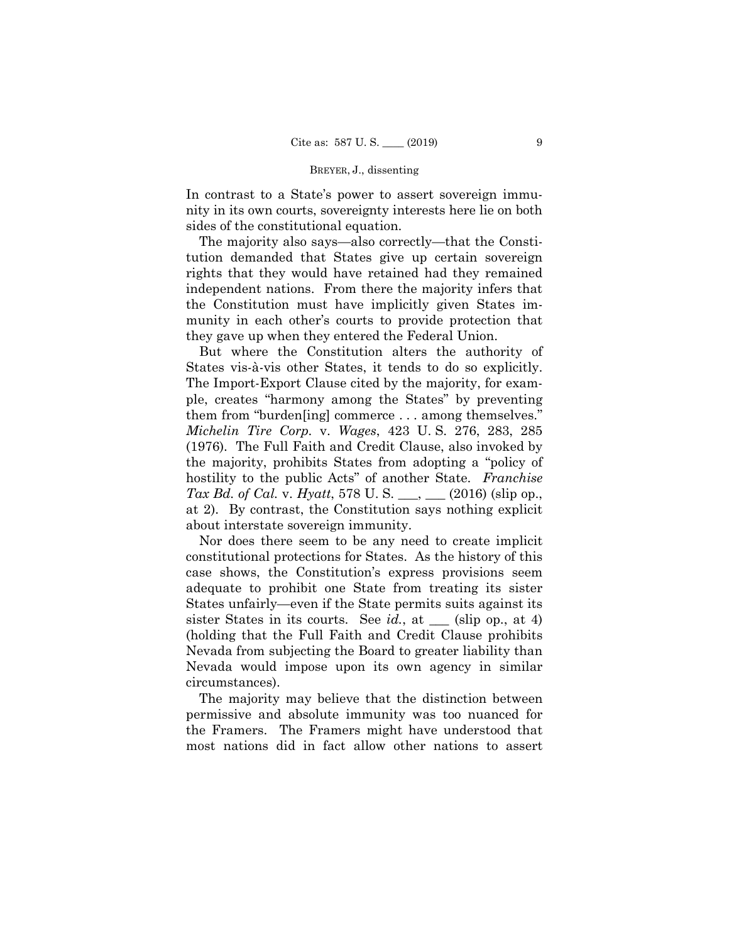In contrast to a State's power to assert sovereign immunity in its own courts, sovereignty interests here lie on both sides of the constitutional equation.

 The majority also says—also correctly—that the Constitution demanded that States give up certain sovereign rights that they would have retained had they remained independent nations. From there the majority infers that the Constitution must have implicitly given States immunity in each other's courts to provide protection that they gave up when they entered the Federal Union.

But where the Constitution alters the authority of States vis-à-vis other States, it tends to do so explicitly. The Import-Export Clause cited by the majority, for example, creates "harmony among the States" by preventing them from "burden[ing] commerce . . . among themselves." *Michelin Tire Corp.* v. *Wages*, 423 U. S. 276, 283, 285 (1976). The Full Faith and Credit Clause, also invoked by the majority, prohibits States from adopting a "policy of hostility to the public Acts" of another State. *Franchise Tax Bd. of Cal.* v. *Hyatt*, 578 U. S. \_\_\_, \_\_\_ (2016) (slip op., at 2). By contrast, the Constitution says nothing explicit about interstate sovereign immunity.

Nor does there seem to be any need to create implicit constitutional protections for States. As the history of this case shows, the Constitution's express provisions seem adequate to prohibit one State from treating its sister States unfairly—even if the State permits suits against its sister States in its courts. See *id.*, at \_\_\_ (slip op., at 4) (holding that the Full Faith and Credit Clause prohibits Nevada from subjecting the Board to greater liability than Nevada would impose upon its own agency in similar circumstances).

 The majority may believe that the distinction between permissive and absolute immunity was too nuanced for the Framers. The Framers might have understood that most nations did in fact allow other nations to assert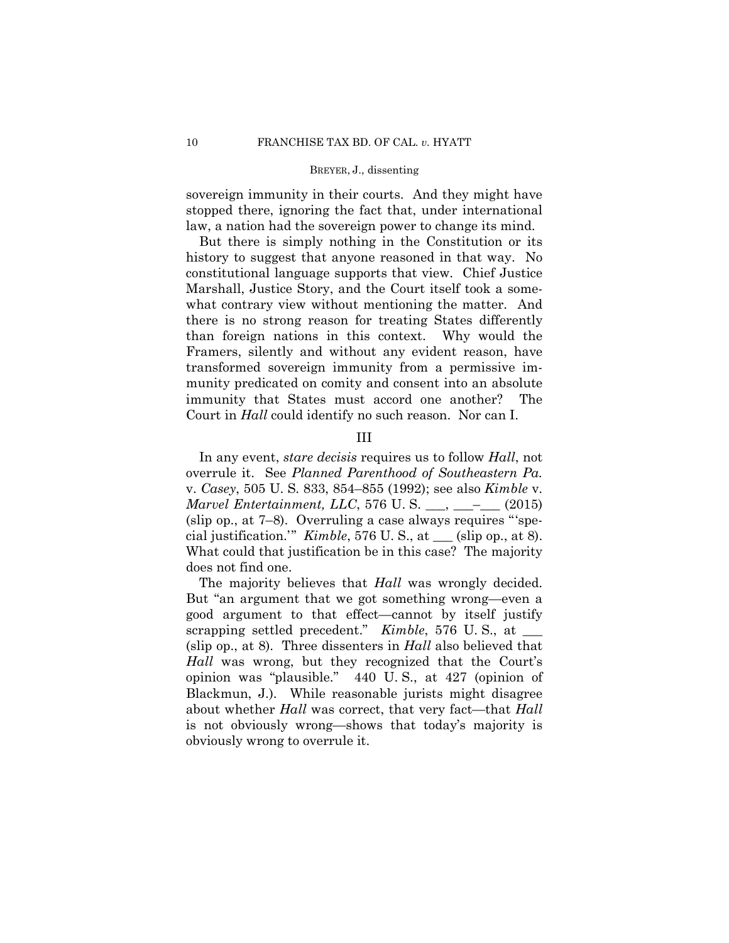sovereign immunity in their courts. And they might have stopped there, ignoring the fact that, under international law, a nation had the sovereign power to change its mind.

But there is simply nothing in the Constitution or its history to suggest that anyone reasoned in that way. No constitutional language supports that view. Chief Justice Marshall, Justice Story, and the Court itself took a somewhat contrary view without mentioning the matter. And there is no strong reason for treating States differently than foreign nations in this context. Why would the Framers, silently and without any evident reason, have transformed sovereign immunity from a permissive immunity predicated on comity and consent into an absolute immunity that States must accord one another? The Court in *Hall* could identify no such reason. Nor can I.

# III

In any event, *stare decisis* requires us to follow *Hall*, not overrule it. See *Planned Parenthood of Southeastern Pa.* v. *Casey*, 505 U. S. 833, 854–855 (1992); see also *Kimble* v. *Marvel Entertainment, LLC*, 576 U.S. \_\_\_, \_\_\_– (2015) (slip op., at 7–8). Overruling a case always requires "'special justification.'" *Kimble*, 576 U. S., at \_\_\_ (slip op., at 8). What could that justification be in this case? The majority does not find one.

The majority believes that *Hall* was wrongly decided. But "an argument that we got something wrong—even a good argument to that effect—cannot by itself justify scrapping settled precedent." *Kimble*, 576 U.S., at (slip op., at 8). Three dissenters in *Hall* also believed that *Hall* was wrong, but they recognized that the Court's opinion was "plausible." 440 U. S., at 427 (opinion of Blackmun, J.). While reasonable jurists might disagree about whether *Hall* was correct, that very fact—that *Hall*  is not obviously wrong—shows that today's majority is obviously wrong to overrule it.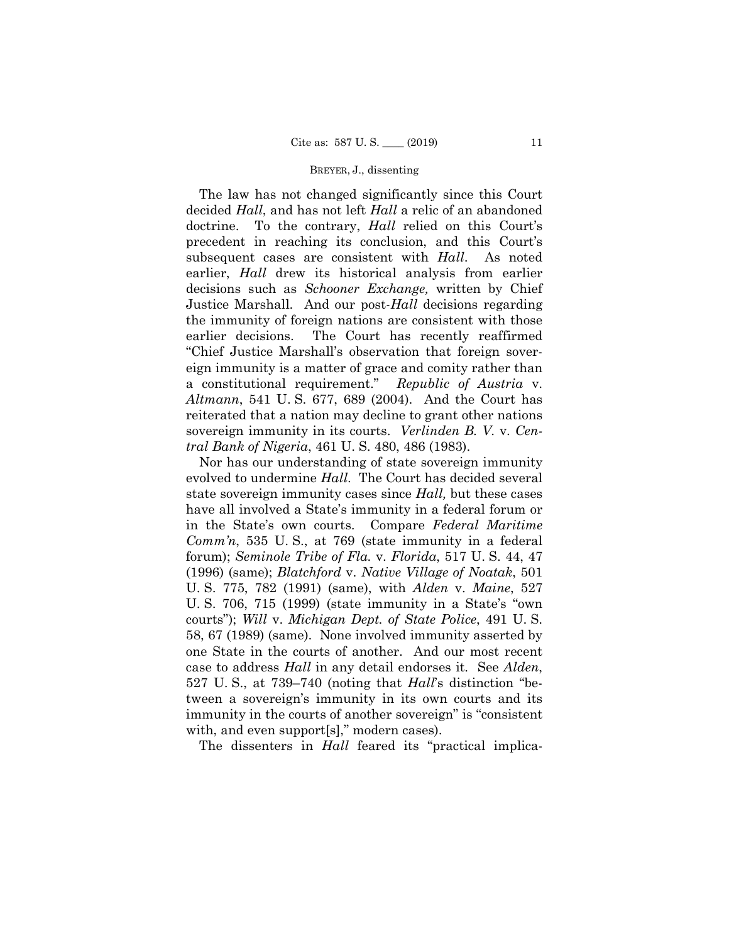The law has not changed significantly since this Court decided *Hall*, and has not left *Hall* a relic of an abandoned doctrine. To the contrary, *Hall* relied on this Court's precedent in reaching its conclusion, and this Court's subsequent cases are consistent with *Hall*. As noted earlier, *Hall* drew its historical analysis from earlier decisions such as *Schooner Exchange,* written by Chief Justice Marshall. And our post-*Hall* decisions regarding the immunity of foreign nations are consistent with those earlier decisions. The Court has recently reaffirmed "Chief Justice Marshall's observation that foreign sovereign immunity is a matter of grace and comity rather than a constitutional requirement." *Republic of Austria* v. *Altmann*, 541 U. S. 677, 689 (2004). And the Court has reiterated that a nation may decline to grant other nations sovereign immunity in its courts. *Verlinden B. V.* v. *Central Bank of Nigeria*, 461 U. S. 480, 486 (1983).

 Nor has our understanding of state sovereign immunity evolved to undermine *Hall*. The Court has decided several state sovereign immunity cases since *Hall,* but these cases have all involved a State's immunity in a federal forum or in the State's own courts. Compare *Federal Maritime Comm'n*, 535 U. S., at 769 (state immunity in a federal forum); *Seminole Tribe of Fla.* v. *Florida*, 517 U. S. 44, 47 (1996) (same); *Blatchford* v. *Native Village of Noatak*, 501 U. S. 775, 782 (1991) (same), with *Alden* v. *Maine*, 527 U. S. 706, 715 (1999) (state immunity in a State's "own courts"); *Will* v. *Michigan Dept. of State Police*, 491 U. S. 58, 67 (1989) (same). None involved immunity asserted by one State in the courts of another. And our most recent case to address *Hall* in any detail endorses it*.* See *Alden*, 527 U. S., at 739–740 (noting that *Hall*'s distinction "between a sovereign's immunity in its own courts and its immunity in the courts of another sovereign" is "consistent with, and even support[s]," modern cases).

The dissenters in *Hall* feared its "practical implica-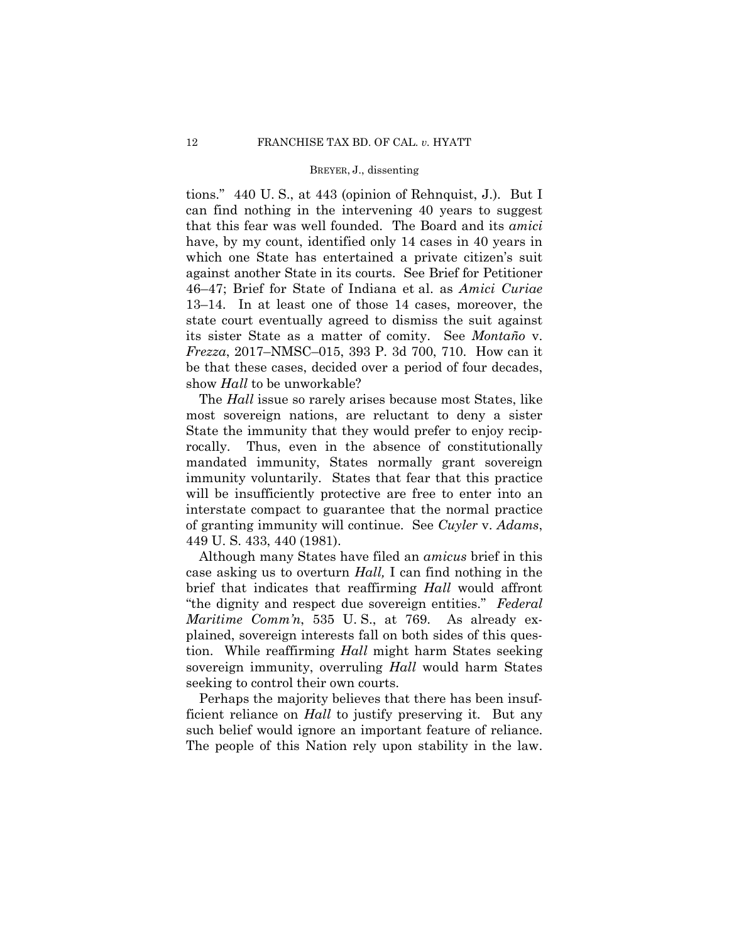tions." 440 U. S., at 443 (opinion of Rehnquist, J.). But I can find nothing in the intervening 40 years to suggest that this fear was well founded. The Board and its *amici* have, by my count, identified only 14 cases in 40 years in which one State has entertained a private citizen's suit against another State in its courts. See Brief for Petitioner 46–47; Brief for State of Indiana et al. as *Amici Curiae* 13–14. In at least one of those 14 cases, moreover, the state court eventually agreed to dismiss the suit against its sister State as a matter of comity. See *Montaño* v. *Frezza*, 2017–NMSC–015, 393 P. 3d 700, 710. How can it be that these cases, decided over a period of four decades, show *Hall* to be unworkable?

The *Hall* issue so rarely arises because most States, like most sovereign nations, are reluctant to deny a sister State the immunity that they would prefer to enjoy reciprocally. Thus, even in the absence of constitutionally mandated immunity, States normally grant sovereign immunity voluntarily. States that fear that this practice will be insufficiently protective are free to enter into an interstate compact to guarantee that the normal practice of granting immunity will continue. See *Cuyler* v. *Adams*, 449 U. S. 433, 440 (1981).

Although many States have filed an *amicus* brief in this case asking us to overturn *Hall,* I can find nothing in the brief that indicates that reaffirming *Hall* would affront "the dignity and respect due sovereign entities." *Federal Maritime Comm'n*, 535 U. S., at 769.As already explained, sovereign interests fall on both sides of this question. While reaffirming *Hall* might harm States seeking sovereign immunity, overruling *Hall* would harm States seeking to control their own courts.

Perhaps the majority believes that there has been insufficient reliance on *Hall* to justify preserving it*.* But any such belief would ignore an important feature of reliance. The people of this Nation rely upon stability in the law.